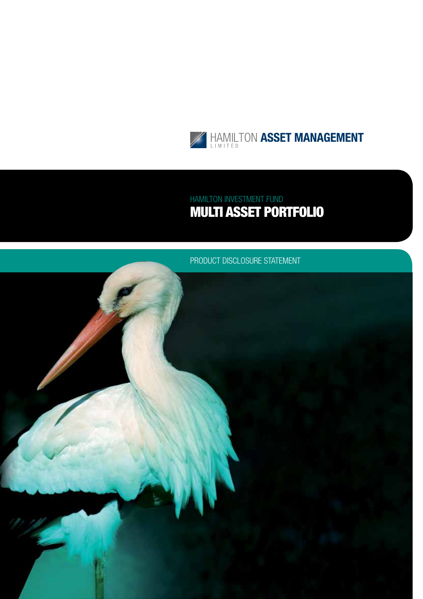

## HAMILTON INVESTMENT FUN Multi Asset Portfolio

## PRODUCT DISCLOSURE STATEMENT

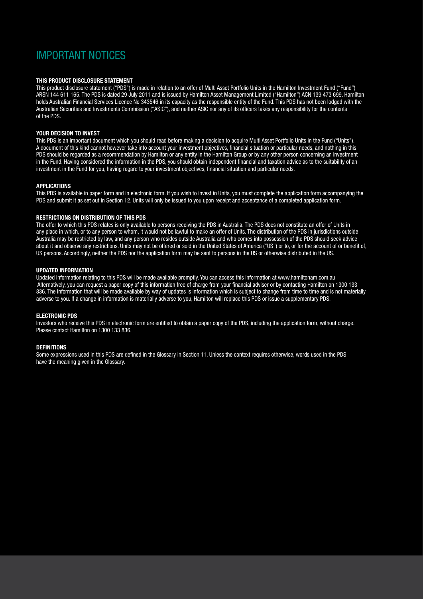## Important notices

#### **This product disclosure statement**

This product disclosure statement ("PDS") is made in relation to an offer of Multi Asset Portfolio Units in the Hamilton Investment Fund ("Fund") ARSN 144 611 165. The PDS is dated 29 July 2011 and is issued by Hamilton Asset Management Limited ("Hamilton") ACN 139 473 699. Hamilton holds Australian Financial Services Licence No 343546 in its capacity as the responsible entity of the Fund. This PDS has not been lodged with the Australian Securities and Investments Commission ("ASIC"), and neither ASIC nor any of its officers takes any responsibility for the contents of the PDS.

#### **Your decision to invest**

This PDS is an important document which you should read before making a decision to acquire Multi Asset Portfolio Units in the Fund ("Units"). A document of this kind cannot however take into account your investment objectives, financial situation or particular needs, and nothing in this PDS should be regarded as a recommendation by Hamilton or any entity in the Hamilton Group or by any other person concerning an investment in the Fund. Having considered the information in the PDS, you should obtain independent financial and taxation advice as to the suitability of an investment in the Fund for you, having regard to your investment objectives, financial situation and particular needs.

#### **Applications**

This PDS is available in paper form and in electronic form. If you wish to invest in Units, you must complete the application form accompanying the PDS and submit it as set out in Section 12. Units will only be issued to you upon receipt and acceptance of a completed application form.

#### **Restrictions on distribution of this PDS**

The offer to which this PDS relates is only available to persons receiving the PDS in Australia. The PDS does not constitute an offer of Units in any place in which, or to any person to whom, it would not be lawful to make an offer of Units. The distribution of the PDS in jurisdictions outside Australia may be restricted by law, and any person who resides outside Australia and who comes into possession of the PDS should seek advice about it and observe any restrictions. Units may not be offered or sold in the United States of America ("US") or to, or for the account of or benefit of, US persons. Accordingly, neither the PDS nor the application form may be sent to persons in the US or otherwise distributed in the US.

#### **Updated information**

Updated information relating to this PDS will be made available promptly. You can access this information at www.hamiltonam.com.au Alternatively, you can request a paper copy of this information free of charge from your financial adviser or by contacting Hamilton on 1300 133 836. The information that will be made available by way of updates is information which is subject to change from time to time and is not materially adverse to you. If a change in information is materially adverse to you, Hamilton will replace this PDS or issue a supplementary PDS.

#### **ELECTRONIC PDS**

Investors who receive this PDS in electronic form are entitled to obtain a paper copy of the PDS, including the application form, without charge. Please contact Hamilton on 1300 133 836.

#### **Definitions**

Some expressions used in this PDS are defined in the Glossary in Section 11. Unless the context requires otherwise, words used in the PDS have the meaning given in the Glossary.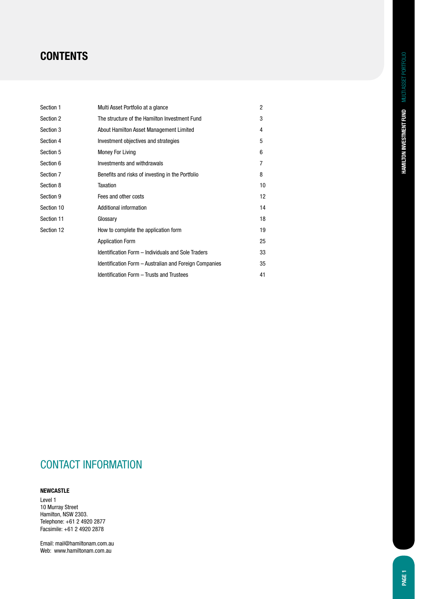## **CONTENTS**

| Section 1  | Multi Asset Portfolio at a glance                      | $\overline{2}$ |
|------------|--------------------------------------------------------|----------------|
| Section 2  | The structure of the Hamilton Investment Fund          | 3              |
| Section 3  | About Hamilton Asset Management Limited                | 4              |
| Section 4  | Investment objectives and strategies                   | 5              |
| Section 5  | <b>Money For Living</b>                                | 6              |
| Section 6  | Investments and withdrawals                            | 7              |
| Section 7  | Benefits and risks of investing in the Portfolio       | 8              |
| Section 8  | Taxation                                               | 10             |
| Section 9  | Fees and other costs                                   | 12             |
| Section 10 | Additional information                                 | 14             |
| Section 11 | Glossary                                               | 18             |
| Section 12 | How to complete the application form                   | 19             |
|            | <b>Application Form</b>                                | 25             |
|            | Identification Form - Individuals and Sole Traders     | 33             |
|            | Identification Form – Australian and Foreign Companies | 35             |
|            | Identification Form - Trusts and Trustees              | 41             |

## CONTACT INFORMATION

### **Newcastle**

Level 1 10 Murray Street Hamilton, NSW 2303. Telephone: +61 2 4920 2877 Facsimile: +61 2 4920 2878

Email: mail@hamiltonam.com.au Web: www.hamiltonam.com.au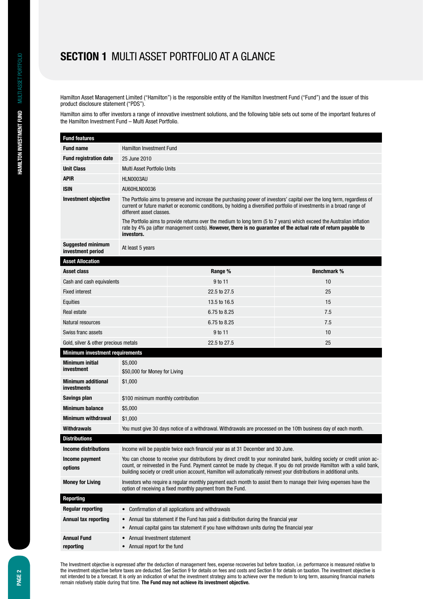## **Section 1** Multi Asset Portfolio at a glance

Hamilton Asset Management Limited ("Hamilton") is the responsible entity of the Hamilton Investment Fund ("Fund") and the issuer of this product disclosure statement ("PDS").

Hamilton aims to offer investors a range of innovative investment solutions, and the following table sets out some of the important features of the Hamilton Investment Fund – Multi Asset Portfolio.

| <b>Fund features</b>                            |                                                                                                                                                                                                                                                                                                                                                                               |                                                                                                                                                                                                                                                    |     |  |  |
|-------------------------------------------------|-------------------------------------------------------------------------------------------------------------------------------------------------------------------------------------------------------------------------------------------------------------------------------------------------------------------------------------------------------------------------------|----------------------------------------------------------------------------------------------------------------------------------------------------------------------------------------------------------------------------------------------------|-----|--|--|
| <b>Fund name</b>                                | <b>Hamilton Investment Fund</b>                                                                                                                                                                                                                                                                                                                                               |                                                                                                                                                                                                                                                    |     |  |  |
| <b>Fund registration date</b>                   | 25 June 2010                                                                                                                                                                                                                                                                                                                                                                  |                                                                                                                                                                                                                                                    |     |  |  |
| <b>Unit Class</b>                               |                                                                                                                                                                                                                                                                                                                                                                               | Multi Asset Portfolio Units                                                                                                                                                                                                                        |     |  |  |
| <b>APIR</b>                                     | HLN0003AU                                                                                                                                                                                                                                                                                                                                                                     |                                                                                                                                                                                                                                                    |     |  |  |
| <b>ISIN</b>                                     | AU60HLN00036                                                                                                                                                                                                                                                                                                                                                                  |                                                                                                                                                                                                                                                    |     |  |  |
| <b>Investment objective</b>                     | different asset classes.                                                                                                                                                                                                                                                                                                                                                      | The Portfolio aims to preserve and increase the purchasing power of investors' capital over the long term, regardless of<br>current or future market or economic conditions, by holding a diversified portfolio of investments in a broad range of |     |  |  |
|                                                 | investors.                                                                                                                                                                                                                                                                                                                                                                    | The Portfolio aims to provide returns over the medium to long term (5 to 7 years) which exceed the Australian inflation<br>rate by 4% pa (after management costs). However, there is no quarantee of the actual rate of return payable to          |     |  |  |
| <b>Suggested minimum</b><br>investment period   | At least 5 years                                                                                                                                                                                                                                                                                                                                                              |                                                                                                                                                                                                                                                    |     |  |  |
| <b>Asset Allocation</b>                         |                                                                                                                                                                                                                                                                                                                                                                               |                                                                                                                                                                                                                                                    |     |  |  |
| Asset class                                     | Range %<br><b>Benchmark %</b>                                                                                                                                                                                                                                                                                                                                                 |                                                                                                                                                                                                                                                    |     |  |  |
| Cash and cash equivalents                       | 9 to 11<br>10                                                                                                                                                                                                                                                                                                                                                                 |                                                                                                                                                                                                                                                    |     |  |  |
| <b>Fixed interest</b>                           | 22.5 to 27.5<br>25                                                                                                                                                                                                                                                                                                                                                            |                                                                                                                                                                                                                                                    |     |  |  |
| Equities                                        |                                                                                                                                                                                                                                                                                                                                                                               | 13.5 to 16.5                                                                                                                                                                                                                                       | 15  |  |  |
| Real estate                                     | 6.75 to 8.25<br>7.5                                                                                                                                                                                                                                                                                                                                                           |                                                                                                                                                                                                                                                    |     |  |  |
| Natural resources                               |                                                                                                                                                                                                                                                                                                                                                                               | 6.75 to 8.25                                                                                                                                                                                                                                       | 7.5 |  |  |
| Swiss franc assets                              |                                                                                                                                                                                                                                                                                                                                                                               | 9 to 11                                                                                                                                                                                                                                            | 10  |  |  |
| Gold, silver & other precious metals            |                                                                                                                                                                                                                                                                                                                                                                               | 22.5 to 27.5                                                                                                                                                                                                                                       | 25  |  |  |
| <b>Minimum investment requirements</b>          |                                                                                                                                                                                                                                                                                                                                                                               |                                                                                                                                                                                                                                                    |     |  |  |
| Minimum initial<br>investment                   | \$5,000<br>\$50,000 for Money for Living                                                                                                                                                                                                                                                                                                                                      |                                                                                                                                                                                                                                                    |     |  |  |
| <b>Minimum additional</b><br><b>investments</b> | \$1,000                                                                                                                                                                                                                                                                                                                                                                       |                                                                                                                                                                                                                                                    |     |  |  |
| Savings plan                                    | \$100 minimum monthly contribution                                                                                                                                                                                                                                                                                                                                            |                                                                                                                                                                                                                                                    |     |  |  |
| <b>Minimum balance</b>                          | \$5,000                                                                                                                                                                                                                                                                                                                                                                       |                                                                                                                                                                                                                                                    |     |  |  |
| Minimum withdrawal                              | \$1,000                                                                                                                                                                                                                                                                                                                                                                       |                                                                                                                                                                                                                                                    |     |  |  |
| <b>Withdrawals</b>                              | You must give 30 days notice of a withdrawal. Withdrawals are processed on the 10th business day of each month.                                                                                                                                                                                                                                                               |                                                                                                                                                                                                                                                    |     |  |  |
| <b>Distributions</b>                            |                                                                                                                                                                                                                                                                                                                                                                               |                                                                                                                                                                                                                                                    |     |  |  |
| <b>Income distributions</b>                     | Income will be payable twice each financial year as at 31 December and 30 June.                                                                                                                                                                                                                                                                                               |                                                                                                                                                                                                                                                    |     |  |  |
| Income payment<br>options                       | You can choose to receive your distributions by direct credit to your nominated bank, building society or credit union ac-<br>count, or reinvested in the Fund. Payment cannot be made by cheque. If you do not provide Hamilton with a valid bank,<br>building society or credit union account, Hamilton will automatically reinvest your distributions in additional units. |                                                                                                                                                                                                                                                    |     |  |  |
| <b>Money for Living</b>                         | Investors who require a reqular monthly payment each month to assist them to manage their living expenses have the<br>option of receiving a fixed monthly payment from the Fund.                                                                                                                                                                                              |                                                                                                                                                                                                                                                    |     |  |  |
| <b>Reporting</b>                                |                                                                                                                                                                                                                                                                                                                                                                               |                                                                                                                                                                                                                                                    |     |  |  |

| Regular reporting    | • Confirmation of all applications and withdrawals                                                                                                                                 |
|----------------------|------------------------------------------------------------------------------------------------------------------------------------------------------------------------------------|
| Annual tax reporting | • Annual tax statement if the Fund has paid a distribution during the financial year<br>• Annual capital gains tax statement if you have withdrawn units during the financial year |
| <b>Annual Fund</b>   | • Annual Investment statement                                                                                                                                                      |
| reporting            | Annual report for the fund                                                                                                                                                         |

not intended to be a forecast. It is only an indication of what the investment strategy aims to achieve over the medium to long term, assuming financial markets remain relatively stable during that time. The Fund may not a The Investment objective is expressed after the deduction of management fees, expense recoveries but before taxation, i.e. performance is measured relative to the investment objective before taxes are deducted. See Section 9 for details on fees and costs and Section 8 for details on taxation. The investment objective is remain relatively stable during that time. **The Fund may not achieve its investment objective.**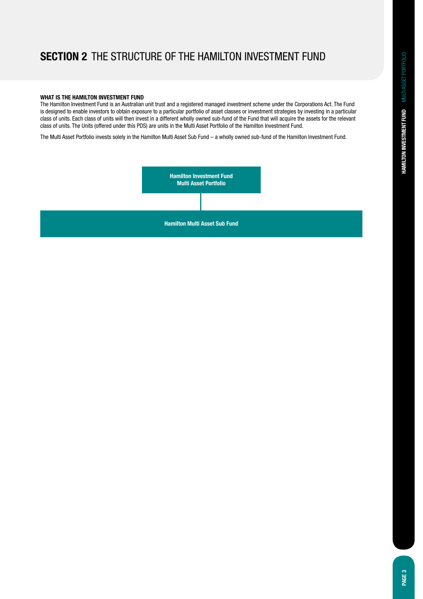## **Section 2** The structure of the Hamilton Investment Fund

#### **What is the Hamilton Investment Fund**

The Hamilton Investment Fund is an Australian unit trust and a registered managed investment scheme under the Corporations Act. The Fund is designed to enable investors to obtain exposure to a particular portfolio of asset classes or investment strategies by investing in a particular class of units. Each class of units will then invest in a different wholly owned sub-fund of the Fund that will acquire the assets for the relevant class of units. The Units (offered under this PDS) are units in the Multi Asset Portfolio of the Hamilton Investment Fund.

The Multi Asset Portfolio invests solely in the Hamilton Multi Asset Sub Fund – a wholly owned sub-fund of the Hamilton Investment Fund.

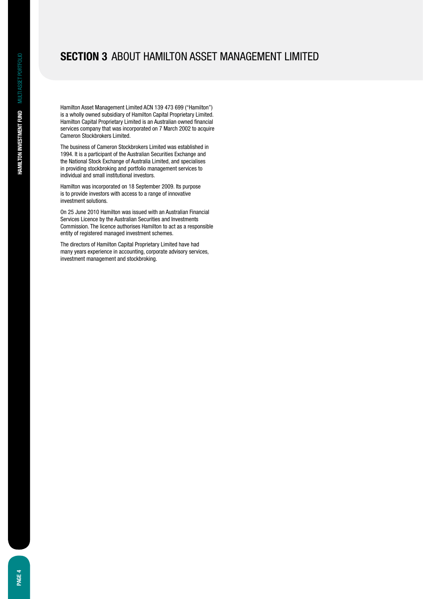## **Section 3** About Hamilton Asset Management Limited

Hamilton Asset Management Limited ACN 139 473 699 ("Hamilton") is a wholly owned subsidiary of Hamilton Capital Proprietary Limited. Hamilton Capital Proprietary Limited is an Australian owned financial services company that was incorporated on 7 March 2002 to acquire Cameron Stockbrokers Limited.

The business of Cameron Stockbrokers Limited was established in 1994. It is a participant of the Australian Securities Exchange and the National Stock Exchange of Australia Limited, and specialises in providing stockbroking and portfolio management services to individual and small institutional investors.

Hamilton was incorporated on 18 September 2009. Its purpose is to provide investors with access to a range of innovative investment solutions.

On 25 June 2010 Hamilton was issued with an Australian Financial Services Licence by the Australian Securities and Investments Commission. The licence authorises Hamilton to act as a responsible entity of registered managed investment schemes.

The directors of Hamilton Capital Proprietary Limited have had many years experience in accounting, corporate advisory services, investment management and stockbroking.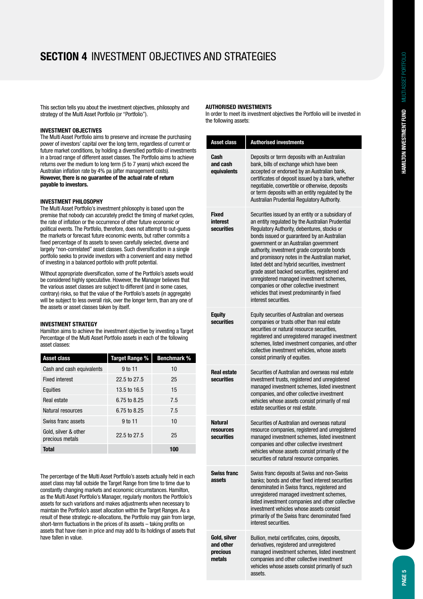# **Section 4** Investment objectives and strategies

This section tells you about the investment objectives, philosophy and strategy of the Multi Asset Portfolio (or "Portfolio").

### **Investment objectives**

The Multi Asset Portfolio aims to preserve and increase the purchasing power of investors' capital over the long term, regardless of current or future market conditions, by holding a diversified portfolio of investments in a broad range of different asset classes. The Portfolio aims to achieve returns over the medium to long term (5 to 7 years) which exceed the Australian inflation rate by 4% pa (after management costs). **However, there is no guarantee of the actual rate of return payable to investors.**

#### **Investment philosophy**

The Multi Asset Portfolio's investment philosophy is based upon the premise that nobody can accurately predict the timing of market cycles, the rate of inflation or the occurrence of other future economic or political events. The Portfolio, therefore, does not attempt to out-guess the markets or forecast future economic events, but rather commits a fixed percentage of its assets to seven carefully selected, diverse and largely "non-correlated" asset classes. Such diversification in a single portfolio seeks to provide investors with a convenient and easy method of investing in a balanced portfolio with profit potential.

Without appropriate diversification, some of the Portfolio's assets would be considered highly speculative. However, the Manager believes that the various asset classes are subject to different (and in some cases, contrary) risks, so that the value of the Portfolio's assets (in aggregate) will be subject to less overall risk, over the longer term, than any one of the assets or asset classes taken by itself.

### **Investment strategy**

Hamilton aims to achieve the investment objective by investing a Target Percentage of the Multi Asset Portfolio assets in each of the following asset classes:

| <b>Asset class</b>                      | <b>Target Range %</b> | <b>Benchmark %</b> |
|-----------------------------------------|-----------------------|--------------------|
| Cash and cash equivalents               | 9 to 11               | 10                 |
| <b>Fixed interest</b>                   | 22.5 to 27.5          | 25                 |
| Equities                                | 13.5 to 16.5          | 15                 |
| Real estate                             | 6.75 to 8.25          | 7.5                |
| Natural resources                       | 6.75 to 8.25          | 7.5                |
| Swiss franc assets                      | 9 to 11               | 10                 |
| Gold, silver & other<br>precious metals | 22.5 to 27.5          | 25                 |
| Total                                   |                       | 100                |

The percentage of the Multi Asset Portfolio's assets actually held in each asset class may fall outside the Target Range from time to time due to constantly changing markets and economic circumstances. Hamilton, as the Multi Asset Portfolio's Manager, regularly monitors the Portfolio's assets for such variations and makes adjustments when necessary to maintain the Portfolio's asset allocation within the Target Ranges. As a result of these strategic re-allocations, the Portfolio may gain from large, short-term fluctuations in the prices of its assets – taking profits on assets that have risen in price and may add to its holdings of assets that have fallen in value.

#### **Authorised investments**

In order to meet its investment objectives the Portfolio will be invested in the following assets:

| Asset class                                     | <b>Authorised investments</b>                                                                                                                                                                                                                                                                                                                                                                                                                                                                                                                                                                                   |
|-------------------------------------------------|-----------------------------------------------------------------------------------------------------------------------------------------------------------------------------------------------------------------------------------------------------------------------------------------------------------------------------------------------------------------------------------------------------------------------------------------------------------------------------------------------------------------------------------------------------------------------------------------------------------------|
| Cash<br>and cash<br>equivalents                 | Deposits or term deposits with an Australian<br>bank, bills of exchange which have been<br>accepted or endorsed by an Australian bank,<br>certificates of deposit issued by a bank, whether<br>negotiable, convertible or otherwise, deposits<br>or term deposits with an entity regulated by the<br>Australian Prudential Regulatory Authority.                                                                                                                                                                                                                                                                |
| <b>Fixed</b><br>interest<br>securities          | Securities issued by an entity or a subsidiary of<br>an entity regulated by the Australian Prudential<br>Regulatory Authority, debentures, stocks or<br>bonds issued or guaranteed by an Australian<br>government or an Australian government<br>authority, investment grade corporate bonds<br>and promissory notes in the Australian market,<br>listed debt and hybrid securities, investment<br>grade asset backed securities, registered and<br>unregistered managed investment schemes,<br>companies or other collective investment<br>vehicles that invest predominantly in fixed<br>interest securities. |
| <b>Equity</b><br>securities                     | Equity securities of Australian and overseas<br>companies or trusts other than real estate<br>securities or natural resource securities,<br>registered and unregistered managed investment<br>schemes, listed investment companies, and other<br>collective investment vehicles, whose assets<br>consist primarily of equities.                                                                                                                                                                                                                                                                                 |
| <b>Real estate</b><br>securities                | Securities of Australian and overseas real estate<br>investment trusts, registered and unregistered<br>managed investment schemes, listed investment<br>companies, and other collective investment<br>vehicles whose assets consist primarily of real<br>estate securities or real estate.                                                                                                                                                                                                                                                                                                                      |
| <b>Natural</b><br>resources<br>securities       | Securities of Australian and overseas natural<br>resource companies, registered and unregistered<br>managed investment schemes, listed investment<br>companies and other collective investment<br>vehicles whose assets consist primarily of the<br>securities of natural resource companies.                                                                                                                                                                                                                                                                                                                   |
| <b>Swiss franc</b><br>assets                    | Swiss franc deposits at Swiss and non-Swiss<br>banks; bonds and other fixed interest securities<br>denominated in Swiss francs, registered and<br>unregistered managed investment schemes,<br>listed investment companies and other collective<br>investment vehicles whose assets consist<br>primarily of the Swiss franc denominated fixed<br>interest securities.                                                                                                                                                                                                                                            |
| Gold, silver<br>and other<br>precious<br>metals | Bullion, metal certificates, coins, deposits,<br>derivatives, registered and unregistered<br>managed investment schemes, listed investment<br>companies and other collective investment<br>vehicles whose assets consist primarily of such<br>assets.                                                                                                                                                                                                                                                                                                                                                           |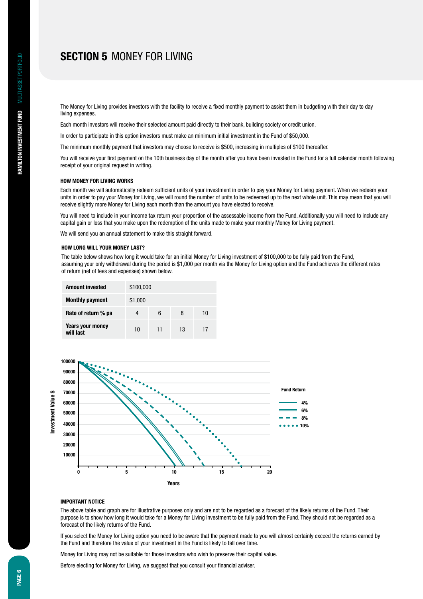## **Section 5** MONEY FOR LIVING

The Money for Living provides investors with the facility to receive a fixed monthly payment to assist them in budgeting with their day to day living expenses.

Each month investors will receive their selected amount paid directly to their bank, building society or credit union.

In order to participate in this option investors must make an minimum initial investment in the Fund of \$50,000.

The minimum monthly payment that investors may choose to receive is \$500, increasing in multiples of \$100 thereafter.

You will receive your first payment on the 10th business day of the month after you have been invested in the Fund for a full calendar month following receipt of your original request in writing.

#### **How Money for Living works**

Each month we will automatically redeem sufficient units of your investment in order to pay your Money for Living payment. When we redeem your units in order to pay your Money for Living, we will round the number of units to be redeemed up to the next whole unit. This may mean that you will receive slightly more Money for Living each month than the amount you have elected to receive.

You will need to include in your income tax return your proportion of the assessable income from the Fund. Additionally you will need to include any capital gain or loss that you make upon the redemption of the units made to make your monthly Money for Living payment.

We will send you an annual statement to make this straight forward.

#### **How long will your money last?**

The table below shows how long it would take for an initial Money for Living investment of \$100,000 to be fully paid from the Fund, assuming your only withdrawal during the period is \$1,000 per month via the Money for Living option and the Fund achieves the different rates of return (net of fees and expenses) shown below.

| <b>Amount invested</b>               | \$100,000 |    |    |    |
|--------------------------------------|-----------|----|----|----|
| <b>Monthly payment</b>               | \$1,000   |    |    |    |
| Rate of return % pa                  | 4         | 6  | 8  | 10 |
| <b>Years your money</b><br>will last | 10        | 11 | 13 | 17 |



### **Important Notice**

The above table and graph are for illustrative purposes only and are not to be regarded as a forecast of the likely returns of the Fund. Their purpose is to show how long it would take for a Money for Living investment to be fully paid from the Fund. They should not be regarded as a forecast of the likely returns of the Fund.

If you select the Money for Living option you need to be aware that the payment made to you will almost certainly exceed the returns earned by the Fund and therefore the value of your investment in the Fund is likely to fall over time.

Money for Living may not be suitable for those investors who wish to preserve their capital value.

Before electing for Money for Living, we suggest that you consult your financial adviser.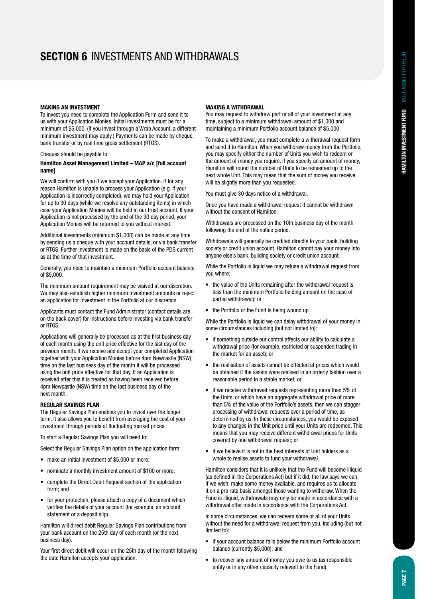## **Section 6** Investments and withdrawals

#### **Making an investment**

To invest you need to complete the Application Form and send it to us with your Application Monies. Initial investments must be for a minimum of \$5,000. (If you invest through a Wrap Account, a different minimum investment may apply.) Payments can be made by cheque, bank transfer or by real time gross settlement (RTGS).

Cheques should be payable to:

#### **Hamilton Asset Management Limited – MAP a/c [full account name]**

We will confirm with you if we accept your Application. If for any reason Hamilton is unable to process your Application (e.g. if your Application is incorrectly completed), we may hold your Application for up to 30 days (while we resolve any outstanding items) in which case your Application Monies will be held in our trust account. If your Application is not processed by the end of the 30 day period, your Application Monies will be returned to you without interest.

Additional investments (minimum \$1,000) can be made at any time by sending us a cheque with your account details, or via bank transfer or RTGS. Further investment is made on the basis of the PDS current as at the time of that investment.

Generally, you need to maintain a minimum Portfolio account balance of \$5,000.

The minimum amount requirement may be waived at our discretion. We may also establish higher minimum investment amounts or reject an application for investment in the Portfolio at our discretion.

Applicants must contact the Fund Administrator (contact details are on the back cover) for instructions before investing via bank transfer or RTGS.

Applications will generally be processed as at the first business day of each month using the unit price effective for the last day of the previous month. If we receive and accept your completed Application together with your Application Monies before 4pm Newcastle (NSW) time on the last business day of the month it will be processed using the unit price effective for that day. If an Application is received after this it is treated as having been received before 4pm Newcastle (NSW) time on the last business day of the next month.

#### **Regular Savings Plan**

The Regular Savings Plan enables you to invest over the longer term. It also allows you to benefit from averaging the cost of your investment through periods of fluctuating market prices.

To start a Regular Savings Plan you will need to:

Select the Regular Savings Plan option on the application form;

- make an initial investment of \$5,000 or more:
- nominate a monthly investment amount of \$100 or more;
- • complete the Direct Debit Request section of the application form; and
- for your protection, please attach a copy of a document which verifies the details of your account (for example, an account statement or a deposit slip).

Hamilton will direct debit Regular Savings Plan contributions from your bank account on the 25th day of each month (or the next business day).

Your first direct debit will occur on the 25th day of the month following the date Hamilton accepts your application.

#### **Making a withdrawal**

You may request to withdraw part or all of your investment at any time, subject to a minimum withdrawal amount of \$1,000 and maintaining a minimum Portfolio account balance of \$5,000.

To make a withdrawal, you must complete a withdrawal request form and send it to Hamilton. When you withdraw money from the Portfolio, you may specify either the number of Units you wish to redeem or the amount of money you require. If you specify an amount of money, Hamilton will round the number of Units to be redeemed up to the next whole Unit. This may mean that the sum of money you receive will be slightly more than you requested.

You must give 30 days notice of a withdrawal.

Once you have made a withdrawal request it cannot be withdrawn without the consent of Hamilton.

Withdrawals are processed on the 10th business day of the month following the end of the notice period.

Withdrawals will generally be credited directly to your bank, building society or credit union account. Hamilton cannot pay your money into anyone else's bank, building society or credit union account.

While the Portfolio is liquid we may refuse a withdrawal request from you where:

- the value of the Units remaining after the withdrawal request is less than the minimum Portfolio holding amount (in the case of partial withdrawal); or
- the Portfolio or the Fund is being wound up.

While the Portfolio is liquid we can delay withdrawal of your money in some circumstances including (but not limited to):

- if something outside our control affects our ability to calculate a withdrawal price (for example, restricted or suspended trading in the market for an asset); or
- the realisation of assets cannot be effected at prices which would be obtained if the assets were realised in an orderly fashion over a reasonable period in a stable market; or
- if we receive withdrawal requests representing more than 5% of the Units, or which have an aggregate withdrawal price of more than 5% of the value of the Portfolio's assets, then we can stagger processing of withdrawal requests over a period of time, as determined by us. In these circumstances, you would be exposed to any changes in the Unit price until your Units are redeemed. This means that you may receive different withdrawal prices for Units covered by one withdrawal request; or
- if we believe it is not in the best interests of Unit holders as a whole to realise assets to fund your withdrawal.

Hamilton considers that it is unlikely that the Fund will become illiquid (as defined in the Corporations Act) but if it did, the law says we can, if we wish, make some money available, and requires us to allocate it on a pro rata basis amongst those wanting to withdraw. When the Fund is illiquid, withdrawals may only be made in accordance with a withdrawal offer made in accordance with the Corporations Act.

In some circumstances, we can redeem some or all of your Units without the need for a withdrawal request from you, including (but not limited to):

- if your account balance falls below the minimum Portfolio account balance (currently \$5,000); and
- to recover any amount of money you owe to us (as responsible entity or in any other capacity relevant to the Fund).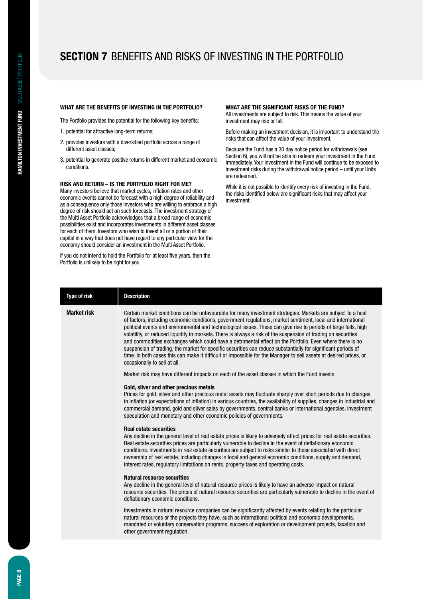## **Section 7** Benefits and risks of investing in the Portfolio

#### **What are the benefits of investing in the Portfolio?**

The Portfolio provides the potential for the following key benefits:

- 1. potential for attractive long-term returns;
- 2. provides investors with a diversified portfolio across a range of different asset classes;
- 3. potential to generate positive returns in different market and economic conditions.

#### **Risk and return – is the Portfolio right for me?**

Many investors believe that market cycles, inflation rates and other economic events cannot be forecast with a high degree of reliability and as a consequence only those investors who are willing to embrace a high degree of risk should act on such forecasts. The investment strategy of the Multi Asset Portfolio acknowledges that a broad range of economic possibilities exist and incorporates investments in different asset classes for each of them. Investors who wish to invest all or a portion of their capital in a way that does not have regard to any particular view for the economy should consider an investment in the Multi Asset Portfolio.

If you do not intend to hold the Portfolio for at least five years, then the Portfolio is unlikely to be right for you.

#### **What are the significant risks of the Fund?**

All investments are subject to risk. This means the value of your investment may rise or fall.

Before making an investment decision, it is important to understand the risks that can affect the value of your investment.

Because the Fund has a 30 day notice period for withdrawals (see Section 6), you will not be able to redeem your investment in the Fund immediately. Your investment in the Fund will continue to be exposed to investment risks during the withdrawal notice period – until your Units are redeemed.

While it is not possible to identify every risk of investing in the Fund, the risks identified below are significant risks that may affect your investment.

| <b>Type of risk</b> | <b>Description</b>                                                                                                                                                                                                                                                                                                                                                                                                                                                                                                                                                                                                                                                                                                                                                                                                                                                                                                                                    |
|---------------------|-------------------------------------------------------------------------------------------------------------------------------------------------------------------------------------------------------------------------------------------------------------------------------------------------------------------------------------------------------------------------------------------------------------------------------------------------------------------------------------------------------------------------------------------------------------------------------------------------------------------------------------------------------------------------------------------------------------------------------------------------------------------------------------------------------------------------------------------------------------------------------------------------------------------------------------------------------|
| <b>Market risk</b>  | Certain market conditions can be unfavourable for many investment strategies. Markets are subject to a host<br>of factors, including economic conditions, government regulations, market sentiment, local and international<br>political events and environmental and technological issues. These can give rise to periods of large falls, high<br>volatility, or reduced liquidity in markets. There is always a risk of the suspension of trading on securities<br>and commodities exchanges which could have a detrimental effect on the Portfolio. Even where there is no<br>suspension of trading, the market for specific securities can reduce substantially for significant periods of<br>time. In both cases this can make it difficult or impossible for the Manager to sell assets at desired prices, or<br>occasionally to sell at all.<br>Market risk may have different impacts on each of the asset classes in which the Fund invests. |
|                     | Gold, silver and other precious metals                                                                                                                                                                                                                                                                                                                                                                                                                                                                                                                                                                                                                                                                                                                                                                                                                                                                                                                |
|                     | Prices for gold, silver and other precious metal assets may fluctuate sharply over short periods due to changes<br>in inflation (or expectations of inflation) in various countries, the availability of supplies, changes in industrial and<br>commercial demand, gold and silver sales by governments, central banks or international agencies, investment<br>speculation and monetary and other economic policies of governments.                                                                                                                                                                                                                                                                                                                                                                                                                                                                                                                  |
|                     | <b>Real estate securities</b><br>Any decline in the general level of real estate prices is likely to adversely affect prices for real estate securities.<br>Real estate securities prices are particularly vulnerable to decline in the event of deflationary economic<br>conditions. Investments in real estate securities are subject to risks similar to those associated with direct<br>ownership of real estate, including changes in local and general economic conditions, supply and demand,<br>interest rates, regulatory limitations on rents, property taxes and operating costs.                                                                                                                                                                                                                                                                                                                                                          |
|                     | <b>Natural resource securities</b><br>Any decline in the general level of natural resource prices is likely to have an adverse impact on natural<br>resource securities. The prices of natural resource securities are particularly vulnerable to decline in the event of<br>deflationary economic conditions.                                                                                                                                                                                                                                                                                                                                                                                                                                                                                                                                                                                                                                        |
|                     | Investments in natural resource companies can be significantly affected by events relating to the particular<br>natural resources or the projects they have, such as international political and economic developments,<br>mandated or voluntary conservation programs, success of exploration or development projects, taxation and<br>other government regulation.                                                                                                                                                                                                                                                                                                                                                                                                                                                                                                                                                                                  |
|                     |                                                                                                                                                                                                                                                                                                                                                                                                                                                                                                                                                                                                                                                                                                                                                                                                                                                                                                                                                       |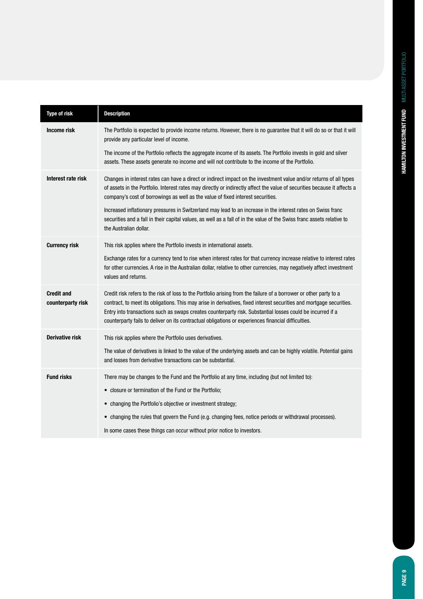| <b>Type of risk</b>                    | <b>Description</b>                                                                                                                                                                                                                                                                                                                                                                                                                                              |
|----------------------------------------|-----------------------------------------------------------------------------------------------------------------------------------------------------------------------------------------------------------------------------------------------------------------------------------------------------------------------------------------------------------------------------------------------------------------------------------------------------------------|
| <b>Income risk</b>                     | The Portfolio is expected to provide income returns. However, there is no guarantee that it will do so or that it will<br>provide any particular level of income.                                                                                                                                                                                                                                                                                               |
|                                        | The income of the Portfolio reflects the aggregate income of its assets. The Portfolio invests in gold and silver<br>assets. These assets generate no income and will not contribute to the income of the Portfolio.                                                                                                                                                                                                                                            |
| Interest rate risk                     | Changes in interest rates can have a direct or indirect impact on the investment value and/or returns of all types<br>of assets in the Portfolio. Interest rates may directly or indirectly affect the value of securities because it affects a<br>company's cost of borrowings as well as the value of fixed interest securities.                                                                                                                              |
|                                        | Increased inflationary pressures in Switzerland may lead to an increase in the interest rates on Swiss franc<br>securities and a fall in their capital values, as well as a fall of in the value of the Swiss franc assets relative to<br>the Australian dollar.                                                                                                                                                                                                |
| <b>Currency risk</b>                   | This risk applies where the Portfolio invests in international assets.                                                                                                                                                                                                                                                                                                                                                                                          |
|                                        | Exchange rates for a currency tend to rise when interest rates for that currency increase relative to interest rates<br>for other currencies. A rise in the Australian dollar, relative to other currencies, may negatively affect investment<br>values and returns.                                                                                                                                                                                            |
| <b>Credit and</b><br>counterparty risk | Credit risk refers to the risk of loss to the Portfolio arising from the failure of a borrower or other party to a<br>contract, to meet its obligations. This may arise in derivatives, fixed interest securities and mortgage securities.<br>Entry into transactions such as swaps creates counterparty risk. Substantial losses could be incurred if a<br>counterparty fails to deliver on its contractual obligations or experiences financial difficulties. |
| <b>Derivative risk</b>                 | This risk applies where the Portfolio uses derivatives.                                                                                                                                                                                                                                                                                                                                                                                                         |
|                                        | The value of derivatives is linked to the value of the underlying assets and can be highly volatile. Potential gains<br>and losses from derivative transactions can be substantial.                                                                                                                                                                                                                                                                             |
| <b>Fund risks</b>                      | There may be changes to the Fund and the Portfolio at any time, including (but not limited to):                                                                                                                                                                                                                                                                                                                                                                 |
|                                        | • closure or termination of the Fund or the Portfolio;                                                                                                                                                                                                                                                                                                                                                                                                          |
|                                        | • changing the Portfolio's objective or investment strategy;                                                                                                                                                                                                                                                                                                                                                                                                    |
|                                        | • changing the rules that govern the Fund (e.g. changing fees, notice periods or withdrawal processes).                                                                                                                                                                                                                                                                                                                                                         |
|                                        | In some cases these things can occur without prior notice to investors.                                                                                                                                                                                                                                                                                                                                                                                         |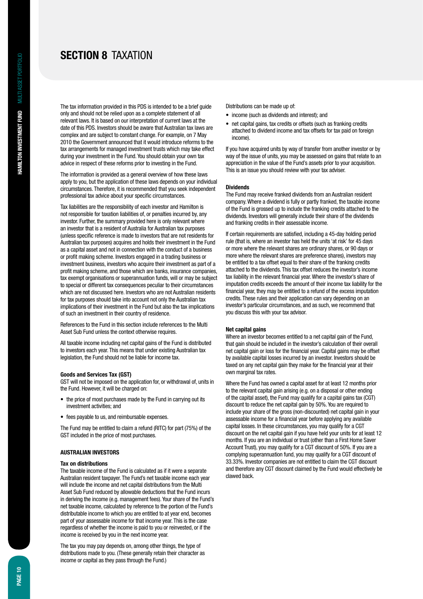## **Section 8** Taxation

The tax information provided in this PDS is intended to be a brief guide only and should not be relied upon as a complete statement of all relevant laws. It is based on our interpretation of current laws at the date of this PDS. Investors should be aware that Australian tax laws are complex and are subject to constant change. For example, on 7 May 2010 the Government announced that it would introduce reforms to the tax arrangements for managed investment trusts which may take effect during your investment in the Fund. You should obtain your own tax advice in respect of these reforms prior to investing in the Fund.

The information is provided as a general overview of how these laws apply to you, but the application of these laws depends on your individual circumstances. Therefore, it is recommended that you seek independent professional tax advice about your specific circumstances.

Tax liabilities are the responsibility of each investor and Hamilton is not responsible for taxation liabilities of, or penalties incurred by, any investor. Further, the summary provided here is only relevant where an investor that is a resident of Australia for Australian tax purposes (unless specific reference is made to investors that are not residents for Australian tax purposes) acquires and holds their investment in the Fund as a capital asset and not in connection with the conduct of a business or profit making scheme. Investors engaged in a trading business or investment business, investors who acquire their investment as part of a profit making scheme, and those which are banks, insurance companies, tax exempt organisations or superannuation funds, will or may be subject to special or different tax consequences peculiar to their circumstances which are not discussed here. Investors who are not Australian residents for tax purposes should take into account not only the Australian tax implications of their investment in the Fund but also the tax implications of such an investment in their country of residence.

References to the Fund in this section include references to the Multi Asset Sub Fund unless the context otherwise requires.

All taxable income including net capital gains of the Fund is distributed to investors each year. This means that under existing Australian tax legislation, the Fund should not be liable for income tax.

#### **Goods and Services Tax (GST)**

GST will not be imposed on the application for, or withdrawal of, units in the Fund. However, it will be charged on:

- the price of most purchases made by the Fund in carrying out its investment activities; and
- fees payable to us, and reimbursable expenses.

The Fund may be entitled to claim a refund (RITC) for part (75%) of the GST included in the price of most purchases.

#### **AUSTRALIAN INVESTORS**

#### **Tax on distributions**

The taxable income of the Fund is calculated as if it were a separate Australian resident taxpayer. The Fund's net taxable income each year will include the income and net capital distributions from the Multi Asset Sub Fund reduced by allowable deductions that the Fund incurs in deriving the income (e.g. management fees). Your share of the Fund's net taxable income, calculated by reference to the portion of the Fund's distributable income to which you are entitled to at year end, becomes part of your assessable income for that income year. This is the case regardless of whether the income is paid to you or reinvested, or if the income is received by you in the next income year.

The tax you may pay depends on, among other things, the type of distributions made to you. (These generally retain their character as income or capital as they pass through the Fund.)

Distributions can be made up of:

- income (such as dividends and interest); and
- net capital gains, tax credits or offsets (such as franking credits attached to dividend income and tax offsets for tax paid on foreign income).

If you have acquired units by way of transfer from another investor or by way of the issue of units, you may be assessed on gains that relate to an appreciation in the value of the Fund's assets prior to your acquisition. This is an issue you should review with your tax adviser.

#### **Dividends**

The Fund may receive franked dividends from an Australian resident company. Where a dividend is fully or partly franked, the taxable income of the Fund is grossed up to include the franking credits attached to the dividends. Investors will generally include their share of the dividends and franking credits in their assessable income.

If certain requirements are satisfied, including a 45-day holding period rule (that is, where an investor has held the units 'at risk' for 45 days or more where the relevant shares are ordinary shares, or 90 days or more where the relevant shares are preference shares), investors may be entitled to a tax offset equal to their share of the franking credits attached to the dividends. This tax offset reduces the investor's income tax liability in the relevant financial year. Where the investor's share of imputation credits exceeds the amount of their income tax liability for the financial year, they may be entitled to a refund of the excess imputation credits. These rules and their application can vary depending on an investor's particular circumstances, and as such, we recommend that you discuss this with your tax advisor.

#### **Net capital gains**

Where an investor becomes entitled to a net capital gain of the Fund, that gain should be included in the investor's calculation of their overall net capital gain or loss for the financial year. Capital gains may be offset by available capital losses incurred by an investor. Investors should be taxed on any net capital gain they make for the financial year at their own marginal tax rates.

Where the Fund has owned a capital asset for at least 12 months prior to the relevant capital gain arising (e.g. on a disposal or other ending of the capital asset), the Fund may qualify for a capital gains tax (CGT) discount to reduce the net capital gain by 50%. You are required to include your share of the gross (non-discounted) net capital gain in your assessable income for a financial year before applying any available capital losses. In these circumstances, you may qualify for a CGT discount on the net capital gain if you have held your units for at least 12 months. If you are an individual or trust (other than a First Home Saver Account Trust), you may qualify for a CGT discount of 50%. If you are a complying superannuation fund, you may qualify for a CGT discount of 33.33%. Investor companies are not entitled to claim the CGT discount and therefore any CGT discount claimed by the Fund would effectively be clawed back.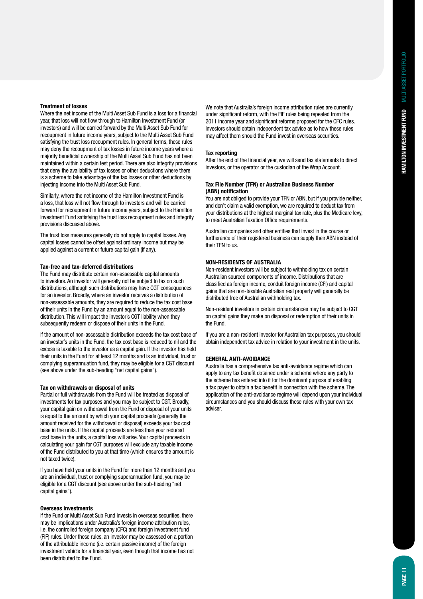#### **Treatment of losses**

Where the net income of the Multi Asset Sub Fund is a loss for a financial year, that loss will not flow through to Hamilton Investment Fund (or investors) and will be carried forward by the Multi Asset Sub Fund for recoupment in future income years, subject to the Multi Asset Sub Fund satisfying the trust loss recoupment rules. In general terms, these rules may deny the recoupment of tax losses in future income years where a majority beneficial ownership of the Multi Asset Sub Fund has not been maintained within a certain test period. There are also integrity provisions that deny the availability of tax losses or other deductions where there is a scheme to take advantage of the tax losses or other deductions by injecting income into the Multi Asset Sub Fund.

Similarly, where the net income of the Hamilton Investment Fund is a loss, that loss will not flow through to investors and will be carried forward for recoupment in future income years, subject to the Hamilton Investment Fund satisfying the trust loss recoupment rules and integrity provisions discussed above.

The trust loss measures generally do not apply to capital losses. Any capital losses cannot be offset against ordinary income but may be applied against a current or future capital gain (if any).

#### **Tax-free and tax-deferred distributions**

The Fund may distribute certain non-assessable capital amounts to investors. An investor will generally not be subject to tax on such distributions, although such distributions may have CGT consequences for an investor. Broadly, where an investor receives a distribution of non-assessable amounts, they are required to reduce the tax cost base of their units in the Fund by an amount equal to the non-assessable distribution. This will impact the investor's CGT liability when they subsequently redeem or dispose of their units in the Fund.

If the amount of non-assessable distribution exceeds the tax cost base of an investor's units in the Fund, the tax cost base is reduced to nil and the excess is taxable to the investor as a capital gain. If the investor has held their units in the Fund for at least 12 months and is an individual, trust or complying superannuation fund, they may be eligible for a CGT discount (see above under the sub-heading "net capital gains").

#### **Tax on withdrawals or disposal of units**

Partial or full withdrawals from the Fund will be treated as disposal of investments for tax purposes and you may be subject to CGT. Broadly, your capital gain on withdrawal from the Fund or disposal of your units is equal to the amount by which your capital proceeds (generally the amount received for the withdrawal or disposal) exceeds your tax cost base in the units. If the capital proceeds are less than your reduced cost base in the units, a capital loss will arise. Your capital proceeds in calculating your gain for CGT purposes will exclude any taxable income of the Fund distributed to you at that time (which ensures the amount is not taxed twice).

If you have held your units in the Fund for more than 12 months and you are an individual, trust or complying superannuation fund, you may be eligible for a CGT discount (see above under the sub-heading "net capital gains").

#### **Overseas investments**

If the Fund or Multi Asset Sub Fund invests in overseas securities, there may be implications under Australia's foreign income attribution rules, i.e. the controlled foreign company (CFC) and foreign investment fund (FIF) rules. Under these rules, an investor may be assessed on a portion of the attributable income (i.e. certain passive income) of the foreign investment vehicle for a financial year, even though that income has not been distributed to the Fund.

We note that Australia's foreign income attribution rules are currently under significant reform, with the FIF rules being repealed from the 2011 income year and significant reforms proposed for the CFC rules. Investors should obtain independent tax advice as to how these rules may affect them should the Fund invest in overseas securities.

#### **Tax reporting**

After the end of the financial year, we will send tax statements to direct investors, or the operator or the custodian of the Wrap Account.

#### **Tax File Number (TFN) or Australian Business Number (ABN) notification**

You are not obliged to provide your TFN or ABN, but if you provide neither, and don't claim a valid exemption, we are required to deduct tax from your distributions at the highest marginal tax rate, plus the Medicare levy, to meet Australian Taxation Office requirements.

Australian companies and other entities that invest in the course or furtherance of their registered business can supply their ABN instead of their TFN to us.

#### **NON-RESIDENTS OF AUSTRALIA**

Non-resident investors will be subject to withholding tax on certain Australian sourced components of income. Distributions that are classified as foreign income, conduit foreign income (CFI) and capital gains that are non-taxable Australian real property will generally be distributed free of Australian withholding tax.

Non-resident investors in certain circumstances may be subject to CGT on capital gains they make on disposal or redemption of their units in the Fund.

If you are a non-resident investor for Australian tax purposes, you should obtain independent tax advice in relation to your investment in the units.

#### **GENERAL ANTI-AVOIDANCE**

Australia has a comprehensive tax anti-avoidance regime which can apply to any tax benefit obtained under a scheme where any party to the scheme has entered into it for the dominant purpose of enabling a tax payer to obtain a tax benefit in connection with the scheme. The application of the anti-avoidance regime will depend upon your individual circumstances and you should discuss these rules with your own tax adviser.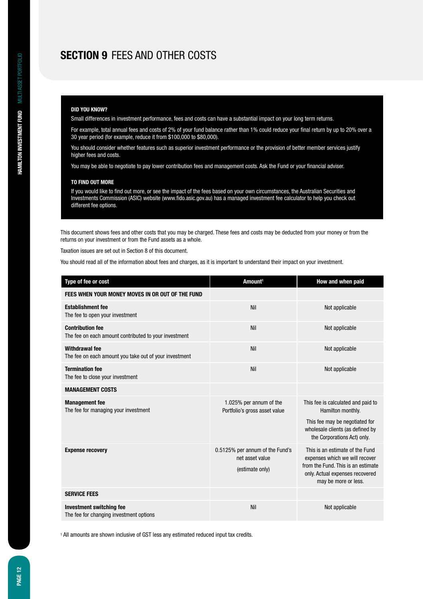## **Section 9** Fees and other costs

#### **DID YOU KNOW?**

Small differences in investment performance, fees and costs can have a substantial impact on your long term returns.

For example, total annual fees and costs of 2% of your fund balance rather than 1% could reduce your final return by up to 20% over a 30 year period (for example, reduce it from \$100,000 to \$80,000).

You should consider whether features such as superior investment performance or the provision of better member services justify higher fees and costs.

You may be able to negotiate to pay lower contribution fees and management costs. Ask the Fund or your financial adviser.

#### **TO FIND OUT MORE**

If you would like to find out more, or see the impact of the fees based on your own circumstances, the Australian Securities and Investments Commission (ASIC) website (www.fido.asic.gov.au) has a managed investment fee calculator to help you check out different fee options.

This document shows fees and other costs that you may be charged. These fees and costs may be deducted from your money or from the returns on your investment or from the Fund assets as a whole.

Taxation issues are set out in Section 8 of this document.

You should read all of the information about fees and charges, as it is important to understand their impact on your investment.

| Type of fee or cost                                                              | Amount <sup>1</sup>                                                   | How and when paid                                                                                                                                                  |
|----------------------------------------------------------------------------------|-----------------------------------------------------------------------|--------------------------------------------------------------------------------------------------------------------------------------------------------------------|
| FEES WHEN YOUR MONEY MOVES IN OR OUT OF THE FUND                                 |                                                                       |                                                                                                                                                                    |
| <b>Establishment fee</b><br>The fee to open your investment                      | Nil                                                                   | Not applicable                                                                                                                                                     |
| <b>Contribution fee</b><br>The fee on each amount contributed to your investment | Nil                                                                   | Not applicable                                                                                                                                                     |
| <b>Withdrawal fee</b><br>The fee on each amount you take out of your investment  | Nil                                                                   | Not applicable                                                                                                                                                     |
| <b>Termination fee</b><br>The fee to close your investment                       | Nil                                                                   | Not applicable                                                                                                                                                     |
| <b>MANAGEMENT COSTS</b>                                                          |                                                                       |                                                                                                                                                                    |
| <b>Management fee</b><br>The fee for managing your investment                    | 1.025% per annum of the<br>Portfolio's gross asset value              | This fee is calculated and paid to<br>Hamilton monthly.<br>This fee may be negotiated for<br>wholesale clients (as defined by<br>the Corporations Act) only.       |
| <b>Expense recovery</b>                                                          | 0.5125% per annum of the Fund's<br>net asset value<br>(estimate only) | This is an estimate of the Fund<br>expenses which we will recover<br>from the Fund. This is an estimate<br>only. Actual expenses recovered<br>may be more or less. |
| <b>SERVICE FEES</b>                                                              |                                                                       |                                                                                                                                                                    |
| <b>Investment switching fee</b><br>The fee for changing investment options       | Nil                                                                   | Not applicable                                                                                                                                                     |

<sup>1</sup> All amounts are shown inclusive of GST less any estimated reduced input tax credits.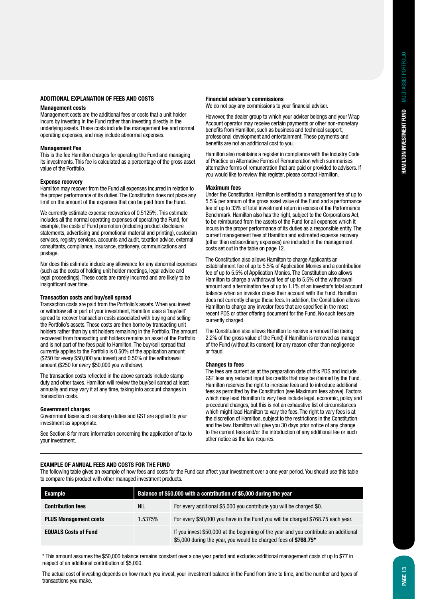#### **Additional explanation of fees and costs**

#### **Management costs**

Management costs are the additional fees or costs that a unit holder incurs by investing in the Fund rather than investing directly in the underlying assets. These costs include the management fee and normal operating expenses, and may include abnormal expenses.

#### **Management Fee**

This is the fee Hamilton charges for operating the Fund and managing its investments. This fee is calculated as a percentage of the gross asset value of the Portfolio.

#### **Expense recovery**

Hamilton may recover from the Fund all expenses incurred in relation to the proper performance of its duties. The Constitution does not place any limit on the amount of the expenses that can be paid from the Fund.

We currently estimate expense recoveries of 0.5125%. This estimate includes all the normal operating expenses of operating the Fund, for example, the costs of Fund promotion (including product disclosure statements, advertising and promotional material and printing), custodian services, registry services, accounts and audit, taxation advice, external consultants, compliance, insurance, stationery, communications and postage.

Nor does this estimate include any allowance for any abnormal expenses (such as the costs of holding unit holder meetings, legal advice and legal proceedings). These costs are rarely incurred and are likely to be insignificant over time.

#### **Transaction costs and buy/sell spread**

Transaction costs are paid from the Portfolio's assets. When you invest or withdraw all or part of your investment, Hamilton uses a 'buy/sell' spread to recover transaction costs associated with buying and selling the Portfolio's assets. These costs are then borne by transacting unit holders rather than by unit holders remaining in the Portfolio. The amount recovered from transacting unit holders remains an asset of the Portfolio and is not part of the fees paid to Hamilton. The buy/sell spread that currently applies to the Portfolio is 0.50% of the application amount (\$250 for every \$50,000 you invest) and 0.50% of the withdrawal amount (\$250 for every \$50,000 you withdraw).

The transaction costs reflected in the above spreads include stamp duty and other taxes. Hamilton will review the buy/sell spread at least annually and may vary it at any time, taking into account changes in transaction costs.

#### **Government charges**

Government taxes such as stamp duties and GST are applied to your investment as appropriate.

See Section 8 for more information concerning the application of tax to your investment.

### **Financial adviser's commissions**

We do not pay any commissions to your financial adviser.

However, the dealer group to which your adviser belongs and your Wrap Account operator may receive certain payments or other non-monetary benefits from Hamilton, such as business and technical support, professional development and entertainment. These payments and benefits are not an additional cost to you.

Hamilton also maintains a register in compliance with the Industry Code of Practice on Alternative Forms of Remuneration which summarises alternative forms of remuneration that are paid or provided to advisers. If you would like to review this register, please contact Hamilton.

#### **Maximum fees**

Under the Constitution, Hamilton is entitled to a management fee of up to 5.5% per annum of the gross asset value of the Fund and a performance fee of up to 33% of total investment return in excess of the Performance Benchmark. Hamilton also has the right, subject to the Corporations Act, to be reimbursed from the assets of the Fund for all expenses which it incurs in the proper performance of its duties as a responsible entity. The current management fees of Hamilton and estimated expense recovery (other than extraordinary expenses) are included in the management costs set out in the table on page 12.

The Constitution also allows Hamilton to charge Applicants an establishment fee of up to 5.5% of Application Monies and a contribution fee of up to 5.5% of Application Monies. The Constitution also allows Hamilton to charge a withdrawal fee of up to 5.5% of the withdrawal amount and a termination fee of up to 1.1% of an investor's total account balance when an investor closes their account with the Fund. Hamilton does not currently charge these fees. In addition, the Constitution allows Hamilton to charge any investor fees that are specified in the most recent PDS or other offering document for the Fund. No such fees are currently charged.

The Constitution also allows Hamilton to receive a removal fee (being 2.2% of the gross value of the Fund) if Hamilton is removed as manager of the Fund (without its consent) for any reason other than negligence or fraud.

#### **Changes to fees**

The fees are current as at the preparation date of this PDS and include GST less any reduced input tax credits that may be claimed by the Fund. Hamilton reserves the right to increase fees and to introduce additional fees as permitted by the Constitution (see Maximum fees above). Factors which may lead Hamilton to vary fees include legal, economic, policy and procedural changes, but this is not an exhaustive list of circumstances which might lead Hamilton to vary the fees. The right to vary fees is at the discretion of Hamilton, subject to the restrictions in the Constitution and the law. Hamilton will give you 30 days prior notice of any change to the current fees and/or the introduction of any additional fee or such other notice as the law requires.

#### **Example of annual fees and costs for the Fund**

The following table gives an example of how fees and costs for the Fund can affect your investment over a one year period. You should use this table to compare this product with other managed investment products.

| Example                      | Balance of \$50,000 with a contribution of \$5,000 during the year |                                                                                                                                                         |  |
|------------------------------|--------------------------------------------------------------------|---------------------------------------------------------------------------------------------------------------------------------------------------------|--|
| <b>Contribution fees</b>     | nil                                                                | For every additional \$5,000 you contribute you will be charged \$0.                                                                                    |  |
| <b>PLUS Management costs</b> | 1.5375%                                                            | For every \$50,000 you have in the Fund you will be charged \$768.75 each year.                                                                         |  |
| <b>EQUALS Costs of Fund</b>  |                                                                    | If you invest \$50,000 at the beginning of the year and you contribute an additional<br>\$5,000 during the year, you would be charged fees of \$768.75* |  |

\* This amount assumes the \$50,000 balance remains constant over a one year period and excludes additional management costs of up to \$77 in respect of an additional contribution of \$5,000.

The actual cost of investing depends on how much you invest, your investment balance in the Fund from time to time, and the number and types of transactions you make.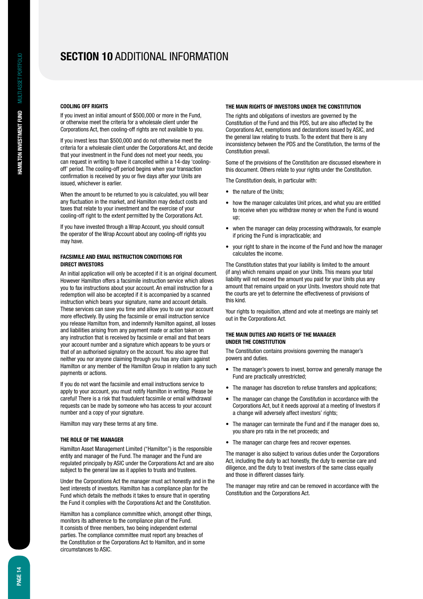## **Section 10** Additional information

#### **Cooling off rights**

If you invest an initial amount of \$500,000 or more in the Fund, or otherwise meet the criteria for a wholesale client under the Corporations Act, then cooling-off rights are not available to you.

If you invest less than \$500,000 and do not otherwise meet the criteria for a wholesale client under the Corporations Act, and decide that your investment in the Fund does not meet your needs, you can request in writing to have it cancelled within a 14-day 'coolingoff' period. The cooling-off period begins when your transaction confirmation is received by you or five days after your Units are issued, whichever is earlier.

When the amount to be returned to you is calculated, you will bear any fluctuation in the market, and Hamilton may deduct costs and taxes that relate to your investment and the exercise of your cooling-off right to the extent permitted by the Corporations Act.

If you have invested through a Wrap Account, you should consult the operator of the Wrap Account about any cooling-off rights you may have.

#### **Facsimile and email instruction conditions for direct investors**

An initial application will only be accepted if it is an original document. However Hamilton offers a facsimile instruction service which allows you to fax instructions about your account. An email instruction for a redemption will also be accepted if it is accompanied by a scanned instruction which bears your signature, name and account details. These services can save you time and allow you to use your account more effectively. By using the facsimile or email instruction service you release Hamilton from, and indemnify Hamilton against, all losses and liabilities arising from any payment made or action taken on any instruction that is received by facsimile or email and that bears your account number and a signature which appears to be yours or that of an authorised signatory on the account. You also agree that neither you nor anyone claiming through you has any claim against Hamilton or any member of the Hamilton Group in relation to any such payments or actions.

If you do not want the facsimile and email instructions service to apply to your account, you must notify Hamilton in writing. Please be careful! There is a risk that fraudulent facsimile or email withdrawal requests can be made by someone who has access to your account number and a copy of your signature.

Hamilton may vary these terms at any time.

#### **The role of the manager**

Hamilton Asset Management Limited ("Hamilton") is the responsible entity and manager of the Fund. The manager and the Fund are regulated principally by ASIC under the Corporations Act and are also subject to the general law as it applies to trusts and trustees.

Under the Corporations Act the manager must act honestly and in the best interests of investors. Hamilton has a compliance plan for the Fund which details the methods it takes to ensure that in operating the Fund it complies with the Corporations Act and the Constitution.

Hamilton has a compliance committee which, amongst other things, monitors its adherence to the compliance plan of the Fund. It consists of three members, two being independent external parties. The compliance committee must report any breaches of the Constitution or the Corporations Act to Hamilton, and in some circumstances to ASIC.

#### **The main rights of investors under the Constitution**

The rights and obligations of investors are governed by the Constitution of the Fund and this PDS, but are also affected by the Corporations Act, exemptions and declarations issued by ASIC, and the general law relating to trusts. To the extent that there is any inconsistency between the PDS and the Constitution, the terms of the Constitution prevail.

Some of the provisions of the Constitution are discussed elsewhere in this document. Others relate to your rights under the Constitution.

The Constitution deals, in particular with:

- the nature of the Units:
- how the manager calculates Unit prices, and what you are entitled to receive when you withdraw money or when the Fund is wound up;
- when the manager can delay processing withdrawals, for example if pricing the Fund is impracticable; and
- vour right to share in the income of the Fund and how the manager calculates the income.

The Constitution states that your liability is limited to the amount (if any) which remains unpaid on your Units. This means your total liability will not exceed the amount you paid for your Units plus any amount that remains unpaid on your Units. Investors should note that the courts are yet to determine the effectiveness of provisions of this kind.

Your rights to requisition, attend and vote at meetings are mainly set out in the Corporations Act.

#### **The main duties and rights of the manager under the Constitution**

The Constitution contains provisions governing the manager's powers and duties.

- The manager's powers to invest, borrow and generally manage the Fund are practically unrestricted;
- The manager has discretion to refuse transfers and applications:
- The manager can change the Constitution in accordance with the Corporations Act, but it needs approval at a meeting of Investors if a change will adversely affect investors' rights;
- The manager can terminate the Fund and if the manager does so, you share pro rata in the net proceeds; and
- The manager can charge fees and recover expenses.

The manager is also subject to various duties under the Corporations Act, including the duty to act honestly, the duty to exercise care and diligence, and the duty to treat investors of the same class equally and those in different classes fairly.

The manager may retire and can be removed in accordance with the Constitution and the Corporations Act.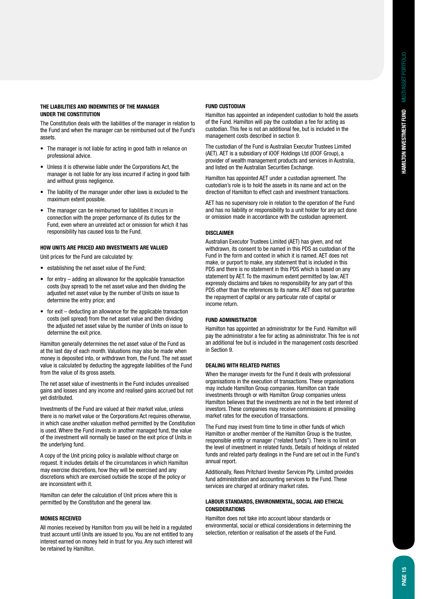#### **The liabilities and indemnities of the manager under the Constitution**

The Constitution deals with the liabilities of the manager in relation to the Fund and when the manager can be reimbursed out of the Fund's assets.

- The manager is not liable for acting in good faith in reliance on professional advice.
- • Unless it is otherwise liable under the Corporations Act, the manager is not liable for any loss incurred if acting in good faith and without gross negligence.
- The liability of the manager under other laws is excluded to the maximum extent possible.
- The manager can be reimbursed for liabilities it incurs in connection with the proper performance of its duties for the Fund, even where an unrelated act or omission for which it has responsibility has caused loss to the Fund.

#### **How Units are priced and investments are valued**

Unit prices for the Fund are calculated by:

- establishing the net asset value of the Fund:
- $\bullet$  for entry adding an allowance for the applicable transaction costs (buy spread) to the net asset value and then dividing the adjusted net asset value by the number of Units on issue to determine the entry price; and
- for  $exit$  deducting an allowance for the applicable transaction costs (sell spread) from the net asset value and then dividing the adjusted net asset value by the number of Units on issue to determine the exit price.

Hamilton generally determines the net asset value of the Fund as at the last day of each month. Valuations may also be made when money is deposited into, or withdrawn from, the Fund. The net asset value is calculated by deducting the aggregate liabilities of the Fund from the value of its gross assets.

The net asset value of investments in the Fund includes unrealised gains and losses and any income and realised gains accrued but not yet distributed.

Investments of the Fund are valued at their market value, unless there is no market value or the Corporations Act requires otherwise, in which case another valuation method permitted by the Constitution is used. Where the Fund invests in another managed fund, the value of the investment will normally be based on the exit price of Units in the underlying fund.

A copy of the Unit pricing policy is available without charge on request. It includes details of the circumstances in which Hamilton may exercise discretions, how they will be exercised and any discretions which are exercised outside the scope of the policy or are inconsistent with it.

Hamilton can defer the calculation of Unit prices where this is permitted by the Constitution and the general law.

#### **Monies received**

All monies received by Hamilton from you will be held in a regulated trust account until Units are issued to you. You are not entitled to any interest earned on money held in trust for you. Any such interest will be retained by Hamilton.

#### **Fund custodian**

Hamilton has appointed an independent custodian to hold the assets of the Fund. Hamilton will pay the custodian a fee for acting as custodian. This fee is not an additional fee, but is included in the management costs described in section 9.

The custodian of the Fund is Australian Executor Trustees Limited (AET). AET is a subsidiary of IOOF Holdings Ltd (IOOF Group), a provider of wealth management products and services in Australia, and listed on the Australian Securities Exchange.

Hamilton has appointed AET under a custodian agreement. The custodian's role is to hold the assets in its name and act on the direction of Hamilton to effect cash and investment transactions.

AET has no supervisory role in relation to the operation of the Fund and has no liability or responsibility to a unit holder for any act done or omission made in accordance with the custodian agreement.

#### **DISCLAIMER**

Australian Executor Trustees Limited (AET) has given, and not withdrawn, its consent to be named in this PDS as custodian of the Fund in the form and context in which it is named. AET does not make, or purport to make, any statement that is included in this PDS and there is no statement in this PDS which is based on any statement by AET. To the maximum extent permitted by law, AET expressly disclaims and takes no responsibility for any part of this PDS other than the references to its name. AET does not guarantee the repayment of capital or any particular rate of capital or income return.

#### **Fund administrator**

Hamilton has appointed an administrator for the Fund. Hamilton will pay the administrator a fee for acting as administrator. This fee is not an additional fee but is included in the management costs described in Section 9.

#### **Dealing with related parties**

When the manager invests for the Fund it deals with professional organisations in the execution of transactions. These organisations may include Hamilton Group companies. Hamilton can trade investments through or with Hamilton Group companies unless Hamilton believes that the investments are not in the best interest of investors. These companies may receive commissions at prevailing market rates for the execution of transactions.

The Fund may invest from time to time in other funds of which Hamilton or another member of the Hamilton Group is the trustee, responsible entity or manager ("related funds"). There is no limit on the level of investment in related funds. Details of holdings of related funds and related party dealings in the Fund are set out in the Fund's annual report.

Additionally, Rees Pritchard Investor Services Pty. Limited provides fund administration and accounting services to the Fund. These services are charged at ordinary market rates.

#### **Labour standards, environmental, social and ethical considerations**

Hamilton does not take into account labour standards or environmental, social or ethical considerations in determining the selection, retention or realisation of the assets of the Fund.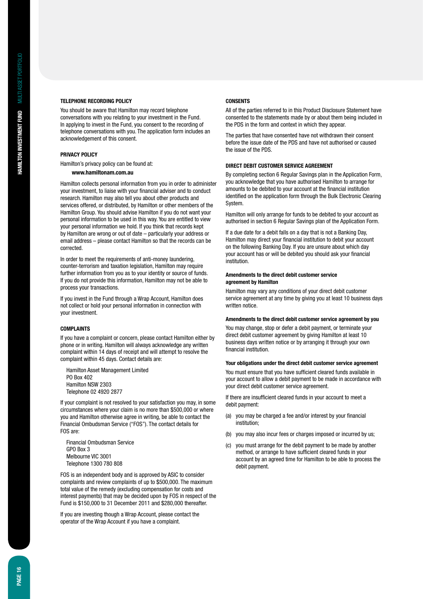#### **Telephone recording policy**

You should be aware that Hamilton may record telephone conversations with you relating to your investment in the Fund. In applying to invest in the Fund, you consent to the recording of telephone conversations with you. The application form includes an acknowledgement of this consent.

#### **Privacy policy**

Hamilton's privacy policy can be found at:

#### **www.hamiltonam.com.au**

Hamilton collects personal information from you in order to administer your investment, to liaise with your financial adviser and to conduct research. Hamilton may also tell you about other products and services offered, or distributed, by Hamilton or other members of the Hamilton Group. You should advise Hamilton if you do not want your personal information to be used in this way. You are entitled to view your personal information we hold. If you think that records kept by Hamilton are wrong or out of date – particularly your address or email address – please contact Hamilton so that the records can be corrected.

In order to meet the requirements of anti-money laundering, counter-terrorism and taxation legislation, Hamilton may require further information from you as to your identity or source of funds. If you do not provide this information, Hamilton may not be able to process your transactions.

If you invest in the Fund through a Wrap Account, Hamilton does not collect or hold your personal information in connection with your investment.

#### **Complaints**

If you have a complaint or concern, please contact Hamilton either by phone or in writing. Hamilton will always acknowledge any written complaint within 14 days of receipt and will attempt to resolve the complaint within 45 days. Contact details are:

Hamilton Asset Management Limited PO Box 402 Hamilton NSW 2303 Telephone 02 4920 2877

If your complaint is not resolved to your satisfaction you may, in some circumstances where your claim is no more than \$500,000 or where you and Hamilton otherwise agree in writing, be able to contact the Financial Ombudsman Service ("FOS"). The contact details for FOS are:

Financial Ombudsman Service GPO Box 3 Melbourne VIC 3001 Telephone 1300 780 808

FOS is an independent body and is approved by ASIC to consider complaints and review complaints of up to \$500,000. The maximum total value of the remedy (excluding compensation for costs and interest payments) that may be decided upon by FOS in respect of the Fund is \$150,000 to 31 December 2011 and \$280,000 thereafter.

If you are investing though a Wrap Account, please contact the operator of the Wrap Account if you have a complaint.

#### **Consents**

All of the parties referred to in this Product Disclosure Statement have consented to the statements made by or about them being included in the PDS in the form and context in which they appear.

The parties that have consented have not withdrawn their consent before the issue date of the PDS and have not authorised or caused the issue of the PDS.

#### **Direct debit customer service agreement**

By completing section 6 Regular Savings plan in the Application Form, you acknowledge that you have authorised Hamilton to arrange for amounts to be debited to your account at the financial institution identified on the application form through the Bulk Electronic Clearing System.

Hamilton will only arrange for funds to be debited to your account as authorised in section 6 Regular Savings plan of the Application Form.

If a due date for a debit falls on a day that is not a Banking Day, Hamilton may direct your financial institution to debit your account on the following Banking Day. If you are unsure about which day your account has or will be debited you should ask your financial institution.

#### **Amendments to the direct debit customer service agreement by Hamilton**

Hamilton may vary any conditions of your direct debit customer service agreement at any time by giving you at least 10 business days written notice.

#### **Amendments to the direct debit customer service agreement by you**

You may change, stop or defer a debit payment, or terminate your direct debit customer agreement by giving Hamilton at least 10 business days written notice or by arranging it through your own financial institution.

#### **Your obligations under the direct debit customer service agreement**

You must ensure that you have sufficient cleared funds available in your account to allow a debit payment to be made in accordance with your direct debit customer service agreement.

If there are insufficient cleared funds in your account to meet a debit payment:

- (a) you may be charged a fee and/or interest by your financial institution;
- (b) you may also incur fees or charges imposed or incurred by us;
- (c) you must arrange for the debit payment to be made by another method, or arrange to have sufficient cleared funds in your account by an agreed time for Hamilton to be able to process the debit payment.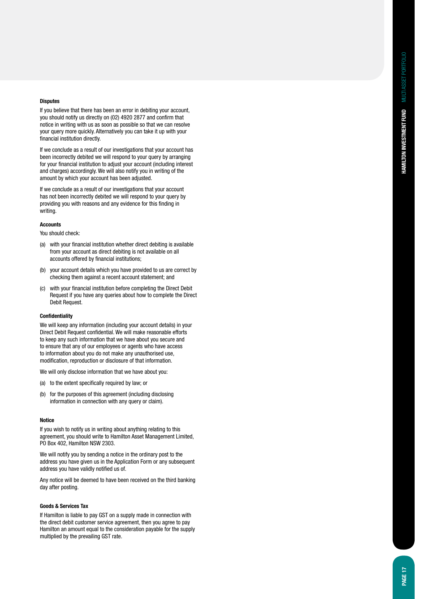#### **Disputes**

If you believe that there has been an error in debiting your account, you should notify us directly on (02) 4920 2877 and confirm that notice in writing with us as soon as possible so that we can resolve your query more quickly. Alternatively you can take it up with your financial institution directly.

If we conclude as a result of our investigations that your account has been incorrectly debited we will respond to your query by arranging for your financial institution to adjust your account (including interest and charges) accordingly. We will also notify you in writing of the amount by which your account has been adjusted.

If we conclude as a result of our investigations that your account has not been incorrectly debited we will respond to your query by providing you with reasons and any evidence for this finding in writing.

#### **Accounts**

You should check:

- (a) with your financial institution whether direct debiting is available from your account as direct debiting is not available on all accounts offered by financial institutions;
- (b) your account details which you have provided to us are correct by checking them against a recent account statement; and
- (c) with your financial institution before completing the Direct Debit Request if you have any queries about how to complete the Direct Debit Request.

#### **Confidentiality**

We will keep any information (including your account details) in your Direct Debit Request confidential. We will make reasonable efforts to keep any such information that we have about you secure and to ensure that any of our employees or agents who have access to information about you do not make any unauthorised use, modification, reproduction or disclosure of that information.

We will only disclose information that we have about you:

- (a) to the extent specifically required by law; or
- (b) for the purposes of this agreement (including disclosing information in connection with any query or claim).

#### **Notice**

If you wish to notify us in writing about anything relating to this agreement, you should write to Hamilton Asset Management Limited, PO Box 402, Hamilton NSW 2303.

We will notify you by sending a notice in the ordinary post to the address you have given us in the Application Form or any subsequent address you have validly notified us of.

Any notice will be deemed to have been received on the third banking day after posting.

#### **Goods & Services Tax**

If Hamilton is liable to pay GST on a supply made in connection with the direct debit customer service agreement, then you agree to pay Hamilton an amount equal to the consideration payable for the supply multiplied by the prevailing GST rate.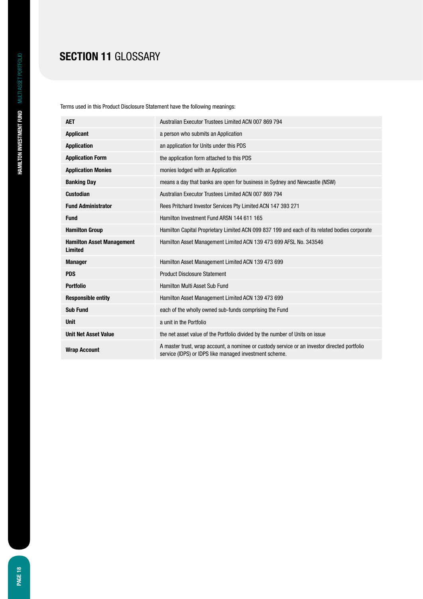## **SECTION 11 GLOSSARY**

Terms used in this Product Disclosure Statement have the following meanings:

| <b>AET</b>                                  | Australian Executor Trustees Limited ACN 007 869 794                                                                                                   |
|---------------------------------------------|--------------------------------------------------------------------------------------------------------------------------------------------------------|
| <b>Applicant</b>                            | a person who submits an Application                                                                                                                    |
| <b>Application</b>                          | an application for Units under this PDS                                                                                                                |
| <b>Application Form</b>                     | the application form attached to this PDS                                                                                                              |
| <b>Application Monies</b>                   | monies lodged with an Application                                                                                                                      |
| <b>Banking Day</b>                          | means a day that banks are open for business in Sydney and Newcastle (NSW)                                                                             |
| <b>Custodian</b>                            | Australian Executor Trustees Limited ACN 007 869 794                                                                                                   |
| <b>Fund Administrator</b>                   | Rees Pritchard Investor Services Pty Limited ACN 147 393 271                                                                                           |
| <b>Fund</b>                                 | Hamilton Investment Fund ARSN 144 611 165                                                                                                              |
| <b>Hamilton Group</b>                       | Hamilton Capital Proprietary Limited ACN 099 837 199 and each of its related bodies corporate                                                          |
| <b>Hamilton Asset Management</b><br>Limited | Hamilton Asset Management Limited ACN 139 473 699 AFSL No. 343546                                                                                      |
| <b>Manager</b>                              | Hamilton Asset Management Limited ACN 139 473 699                                                                                                      |
| <b>PDS</b>                                  | <b>Product Disclosure Statement</b>                                                                                                                    |
| <b>Portfolio</b>                            | <b>Hamilton Multi Asset Sub Fund</b>                                                                                                                   |
| <b>Responsible entity</b>                   | Hamilton Asset Management Limited ACN 139 473 699                                                                                                      |
| <b>Sub Fund</b>                             | each of the wholly owned sub-funds comprising the Fund                                                                                                 |
| <b>Unit</b>                                 | a unit in the Portfolio                                                                                                                                |
| <b>Unit Net Asset Value</b>                 | the net asset value of the Portfolio divided by the number of Units on issue                                                                           |
| <b>Wrap Account</b>                         | A master trust, wrap account, a nominee or custody service or an investor directed portfolio<br>service (IDPS) or IDPS like managed investment scheme. |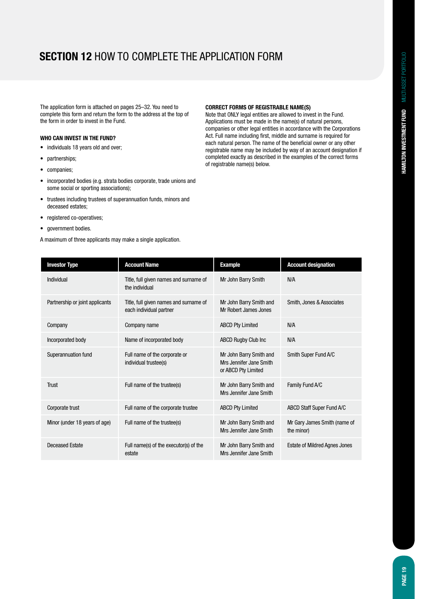# **Section 12** How to complete the application form

The application form is attached on pages 25–32. You need to complete this form and return the form to the address at the top of the form in order to invest in the Fund.

### **Who can invest in the Fund?**

- individuals 18 years old and over;
- partnerships;
- companies:
- • incorporated bodies (e.g. strata bodies corporate, trade unions and some social or sporting associations);
- trustees including trustees of superannuation funds, minors and deceased estates;
- registered co-operatives;
- government bodies.

A maximum of three applicants may make a single application.

#### **Correct forms of registrable name(s)**

Note that ONLY legal entities are allowed to invest in the Fund. Applications must be made in the name(s) of natural persons, companies or other legal entities in accordance with the Corporations Act. Full name including first, middle and surname is required for each natural person. The name of the beneficial owner or any other registrable name may be included by way of an account designation if completed exactly as described in the examples of the correct forms of registrable name(s) below.

| <b>Investor Type</b>            | <b>Account Name</b>                                               | <b>Example</b>                                                            | <b>Account designation</b>                 |
|---------------------------------|-------------------------------------------------------------------|---------------------------------------------------------------------------|--------------------------------------------|
| Individual                      | Title, full given names and surname of<br>the individual          | Mr John Barry Smith                                                       | N/A                                        |
| Partnership or joint applicants | Title, full given names and surname of<br>each individual partner | Mr John Barry Smith and<br>Mr Robert James Jones                          | Smith, Jones & Associates                  |
| Company                         | Company name                                                      | <b>ABCD Pty Limited</b>                                                   | N/A                                        |
| Incorporated body               | Name of incorporated body                                         | <b>ABCD Rugby Club Inc.</b>                                               | N/A                                        |
| Superannuation fund             | Full name of the corporate or<br>individual trustee(s)            | Mr John Barry Smith and<br>Mrs Jennifer Jane Smith<br>or ABCD Pty Limited | Smith Super Fund A/C                       |
| Trust                           | Full name of the trustee(s)                                       | Mr John Barry Smith and<br>Mrs Jennifer Jane Smith                        | Family Fund A/C                            |
| Corporate trust                 | Full name of the corporate trustee                                | <b>ABCD Pty Limited</b>                                                   | ABCD Staff Super Fund A/C                  |
| Minor (under 18 years of age)   | Full name of the trustee(s)                                       | Mr John Barry Smith and<br>Mrs Jennifer Jane Smith                        | Mr Gary James Smith (name of<br>the minor) |
| <b>Deceased Estate</b>          | Full name(s) of the executor(s) of the<br>estate                  | Mr John Barry Smith and<br>Mrs Jennifer Jane Smith                        | <b>Estate of Mildred Agnes Jones</b>       |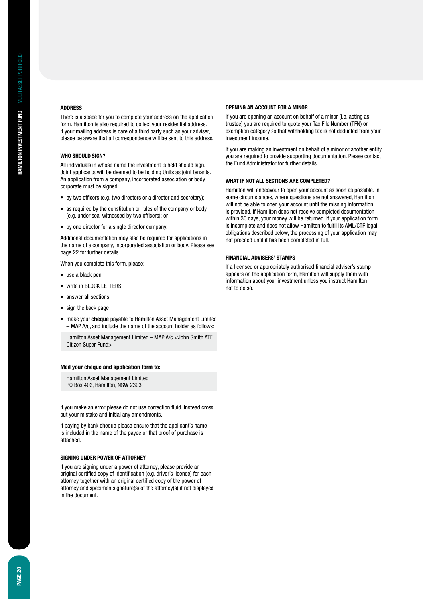#### **Address**

There is a space for you to complete your address on the application form. Hamilton is also required to collect your residential address. If your mailing address is care of a third party such as your adviser, please be aware that all correspondence will be sent to this address.

#### **Who should sign?**

All individuals in whose name the investment is held should sign. Joint applicants will be deemed to be holding Units as joint tenants. An application from a company, incorporated association or body corporate must be signed:

- by two officers (e.g. two directors or a director and secretary);
- as required by the constitution or rules of the company or body (e.g. under seal witnessed by two officers); or
- • by one director for a single director company.

Additional documentation may also be required for applications in the name of a company, incorporated association or body. Please see page 22 for further details.

When you complete this form, please:

- use a black pen
- write in BLOCK LETTERS
- answer all sections
- sign the back page
- make your **cheque** payable to Hamilton Asset Management Limited – MAP A/c, and include the name of the account holder as follows:

Hamilton Asset Management Limited – MAP A/c <John Smith ATF Citizen Super Fund>

#### **Mail your cheque and application form to:**

Hamilton Asset Management Limited PO Box 402, Hamilton, NSW 2303

If you make an error please do not use correction fluid. Instead cross out your mistake and initial any amendments.

If paying by bank cheque please ensure that the applicant's name is included in the name of the payee or that proof of purchase is attached.

#### **Signing under Power of Attorney**

If you are signing under a power of attorney, please provide an original certified copy of identification (e.g. driver's licence) for each attorney together with an original certified copy of the power of attorney and specimen signature(s) of the attorney(s) if not displayed in the document.

#### **Opening an account for a minor**

If you are opening an account on behalf of a minor (i.e. acting as trustee) you are required to quote your Tax File Number (TFN) or exemption category so that withholding tax is not deducted from your investment income.

If you are making an investment on behalf of a minor or another entity, you are required to provide supporting documentation. Please contact the Fund Administrator for further details.

#### **What if not all sections are completed?**

Hamilton will endeavour to open your account as soon as possible. In some circumstances, where questions are not answered, Hamilton will not be able to open your account until the missing information is provided. If Hamilton does not receive completed documentation within 30 days, your money will be returned. If your application form is incomplete and does not allow Hamilton to fulfil its AML/CTF legal obligations described below, the processing of your application may not proceed until it has been completed in full.

#### **Financial advisers' stamps**

If a licensed or appropriately authorised financial adviser's stamp appears on the application form, Hamilton will supply them with information about your investment unless you instruct Hamilton not to do so.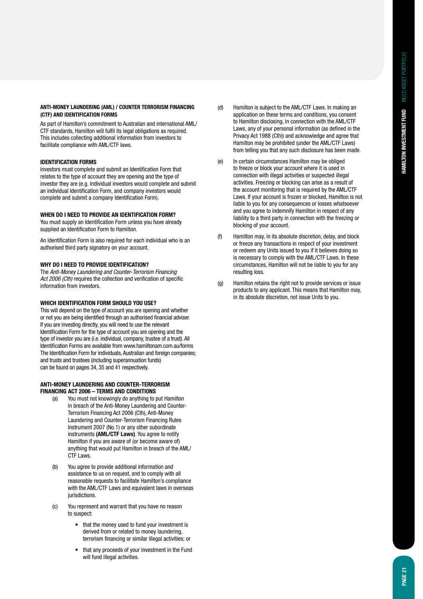#### **Anti-Money Laundering (AML) / Counter Terrorism Financing (CTF) and Identification forms**

As part of Hamilton's commitment to Australian and international AML/ CTF standards, Hamilton will fulfil its legal obligations as required. This includes collecting additional information from investors to facilitate compliance with AML/CTF laws.

#### **Identification forms**

Investors must complete and submit an Identification Form that relates to the type of account they are opening and the type of investor they are (e.g. individual investors would complete and submit an individual Identification Form, and company investors would complete and submit a company Identification Form).

#### **When do I need to provide an Identification Form?**

You must supply an Identification Form unless you have already supplied an Identification Form to Hamilton.

An Identification Form is also required for each individual who is an authorised third party signatory on your account.

#### **Why do I need to provide identification?**

The Anti-Money Laundering and Counter-Terrorism Financing Act 2006 (Cth) requires the collection and verification of specific information from investors.

#### **Which Identification Form should you use?**

This will depend on the type of account you are opening and whether or not you are being identified through an authorised financial adviser. If you are investing directly, you will need to use the relevant Identification Form for the type of account you are opening and the type of investor you are (i.e. individual, company, trustee of a trust). All Identification Forms are available from www.hamiltonam.com.au/forms The Identification Form for individuals, Australian and foreign companies; and trusts and trustees (including superannuation funds) can be found on pages 34, 35 and 41 respectively.

#### **Anti-Money Laundering and Counter-Terrorism Financing Act 2006 – terms and conditions**

- (a) You must not knowingly do anything to put Hamilton in breach of the Anti-Money Laundering and Counter- Terrorism Financing Act 2006 (Cth), Anti-Money Laundering and Counter-Terrorism Financing Rules Instrument 2007 (No.1) or any other subordinate instruments **(AML/CTF Laws)**. You agree to notify Hamilton if you are aware of (or become aware of) anything that would put Hamilton in breach of the AML/ CTF Laws.
- (b) You agree to provide additional information and assistance to us on request, and to comply with all reasonable requests to facilitate Hamilton's compliance with the AML/CTF Laws and equivalent laws in overseas iurisdictions.
- (c) You represent and warrant that you have no reason to suspect:
	- that the money used to fund your investment is derived from or related to money laundering, terrorism financing or similar illegal activities; or
	- that any proceeds of your investment in the Fund will fund illegal activities.
- (d) Hamilton is subject to the AML/CTF Laws. In making an application on these terms and conditions, you consent to Hamilton disclosing, in connection with the AML/CTF Laws, any of your personal information (as defined in the Privacy Act 1988 (Cth)) and acknowledge and agree that Hamilton may be prohibited (under the AML/CTF Laws) from telling you that any such disclosure has been made.
- (e) In certain circumstances Hamilton may be obliged to freeze or block your account where it is used in connection with illegal activities or suspected illegal activities. Freezing or blocking can arise as a result of the account monitoring that is required by the AML/CTF Laws. If your account is frozen or blocked, Hamilton is not liable to you for any consequences or losses whatsoever and you agree to indemnify Hamilton in respect of any liability to a third party in connection with the freezing or blocking of your account.
- (f) Hamilton may, in its absolute discretion, delay, and block or freeze any transactions in respect of your investment or redeem any Units issued to you if it believes doing so is necessary to comply with the AML/CTF Laws. In these circumstances, Hamilton will not be liable to you for any resulting loss.
- (g) Hamilton retains the right not to provide services or issue products to any applicant. This means that Hamilton may, in its absolute discretion, not issue Units to you.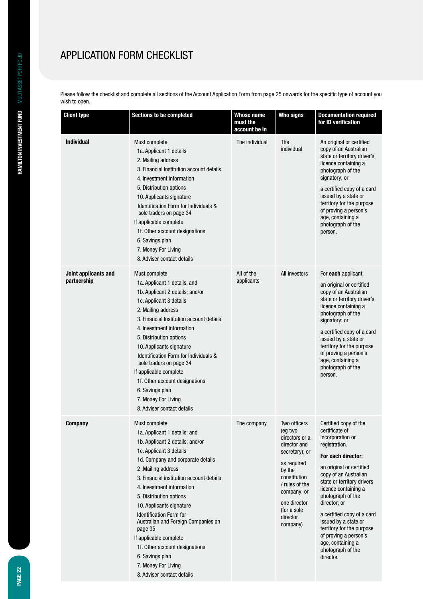# APPLICATION FORM CHECKLIST

Please follow the checklist and complete all sections of the Account Application Form from page 25 onwards for the specific type of account you wish to open.

| <b>Client type</b>                  | Sections to be completed                                                                                                                                                                                                                                                                                                                                                                                                                                                                                                       | <b>Whose name</b><br>must the<br>account be in | <b>Who signs</b>                                                                                                                                                                                             | <b>Documentation required</b><br>for ID verification                                                                                                                                                                                                                                                                                                                                                                  |
|-------------------------------------|--------------------------------------------------------------------------------------------------------------------------------------------------------------------------------------------------------------------------------------------------------------------------------------------------------------------------------------------------------------------------------------------------------------------------------------------------------------------------------------------------------------------------------|------------------------------------------------|--------------------------------------------------------------------------------------------------------------------------------------------------------------------------------------------------------------|-----------------------------------------------------------------------------------------------------------------------------------------------------------------------------------------------------------------------------------------------------------------------------------------------------------------------------------------------------------------------------------------------------------------------|
| <b>Individual</b>                   | Must complete<br>1a. Applicant 1 details<br>2. Mailing address<br>3. Financial Institution account details<br>4. Investment information<br>5. Distribution options<br>10. Applicants signature<br>Identification Form for Individuals &<br>sole traders on page 34<br>If applicable complete<br>1f. Other account designations<br>6. Savings plan<br>7. Money For Living<br>8. Adviser contact details                                                                                                                         | The individual                                 | The<br>individual                                                                                                                                                                                            | An original or certified<br>copy of an Australian<br>state or territory driver's<br>licence containing a<br>photograph of the<br>signatory; or<br>a certified copy of a card<br>issued by a state or<br>territory for the purpose<br>of proving a person's<br>age, containing a<br>photograph of the<br>person.                                                                                                       |
| Joint applicants and<br>partnership | Must complete<br>1a. Applicant 1 details, and<br>1b. Applicant 2 details; and/or<br>1c. Applicant 3 details<br>2. Mailing address<br>3. Financial Institution account details<br>4. Investment information<br>5. Distribution options<br>10. Applicants signature<br>Identification Form for Individuals &<br>sole traders on page 34<br>If applicable complete<br>1f. Other account designations<br>6. Savings plan<br>7. Money For Living<br>8. Adviser contact details                                                      | All of the<br>applicants                       | All investors                                                                                                                                                                                                | For each applicant:<br>an original or certified<br>copy of an Australian<br>state or territory driver's<br>licence containing a<br>photograph of the<br>signatory; or<br>a certified copy of a card<br>issued by a state or<br>territory for the purpose<br>of proving a person's<br>age, containing a<br>photograph of the<br>person.                                                                                |
| <b>Company</b>                      | Must complete<br>1a. Applicant 1 details; and<br>1b. Applicant 2 details; and/or<br>1c. Applicant 3 details<br>1d. Company and corporate details<br>2. Mailing address<br>3. Financial institution account details<br>4. Investment information<br>5. Distribution options<br>10. Applicants signature<br><b>Identification Form for</b><br>Australian and Foreign Companies on<br>page 35<br>If applicable complete<br>1f. Other account designations<br>6. Savings plan<br>7. Money For Living<br>8. Adviser contact details | The company                                    | Two officers<br>(eg two<br>directors or a<br>director and<br>secretary); or<br>as required<br>by the<br>constitution<br>/ rules of the<br>company; or<br>one director<br>(for a sole<br>director<br>company) | Certified copy of the<br>certificate of<br>incorporation or<br>registration.<br>For each director:<br>an original or certified<br>copy of an Australian<br>state or territory drivers<br>licence containing a<br>photograph of the<br>director; or<br>a certified copy of a card<br>issued by a state or<br>territory for the purpose<br>of proving a person's<br>age, containing a<br>photograph of the<br>director. |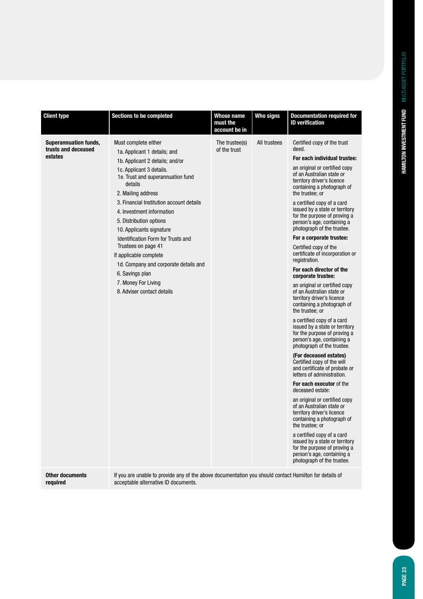| <b>Client type</b>                                             | <b>Sections to be completed</b>                                                                                                                                                                                                                                                                                                                                                                                                                                                                                                          | <b>Whose name</b><br>must the<br>account be in                                                         | <b>Who signs</b> | <b>Documentation required for</b><br><b>ID</b> verification                                                                                                                                                                                                                                                                                                                                                                                                                                                                                                                                                                                                                                                                                                                                                                                                                                                                                                                                                                                                                                                                                                                                                                                                                                                                       |  |  |  |  |
|----------------------------------------------------------------|------------------------------------------------------------------------------------------------------------------------------------------------------------------------------------------------------------------------------------------------------------------------------------------------------------------------------------------------------------------------------------------------------------------------------------------------------------------------------------------------------------------------------------------|--------------------------------------------------------------------------------------------------------|------------------|-----------------------------------------------------------------------------------------------------------------------------------------------------------------------------------------------------------------------------------------------------------------------------------------------------------------------------------------------------------------------------------------------------------------------------------------------------------------------------------------------------------------------------------------------------------------------------------------------------------------------------------------------------------------------------------------------------------------------------------------------------------------------------------------------------------------------------------------------------------------------------------------------------------------------------------------------------------------------------------------------------------------------------------------------------------------------------------------------------------------------------------------------------------------------------------------------------------------------------------------------------------------------------------------------------------------------------------|--|--|--|--|
| <b>Superannuation funds,</b><br>trusts and deceased<br>estates | Must complete either<br>1a. Applicant 1 details; and<br>1b. Applicant 2 details; and/or<br>1c. Applicant 3 details.<br>1e. Trust and superannuation fund<br>details<br>2. Mailing address<br>3. Financial Institution account details<br>4. Investment information<br>5. Distribution options<br>10. Applicants signature<br><b>Identification Form for Trusts and</b><br>Trustees on page 41<br>If applicable complete<br>1d. Company and corporate details and<br>6. Savings plan<br>7. Money For Living<br>8. Adviser contact details | The trustee(s)<br>of the trust                                                                         | All trustees     | Certified copy of the trust<br>deed.<br>For each individual trustee:<br>an original or certified copy<br>of an Australian state or<br>territory driver's licence<br>containing a photograph of<br>the trustee; or<br>a certified copy of a card<br>issued by a state or territory<br>for the purpose of proving a<br>person's age, containing a<br>photograph of the trustee.<br>For a corporate trustee:<br>Certified copy of the<br>certificate of incorporation or<br>registration.<br>For each director of the<br>corporate trustee:<br>an original or certified copy<br>of an Australian state or<br>territory driver's licence<br>containing a photograph of<br>the trustee; or<br>a certified copy of a card<br>issued by a state or territory<br>for the purpose of proving a<br>person's age, containing a<br>photograph of the trustee.<br>(For deceased estates)<br>Certified copy of the will<br>and certificate of probate or<br>letters of administration.<br>For each executor of the<br>deceased estate:<br>an original or certified copy<br>of an Australian state or<br>territory driver's licence<br>containing a photograph of<br>the trustee; or<br>a certified copy of a card<br>issued by a state or territory<br>for the purpose of proving a<br>person's age, containing a<br>photograph of the trustee. |  |  |  |  |
| <b>Other documents</b><br>required                             | acceptable alternative ID documents.                                                                                                                                                                                                                                                                                                                                                                                                                                                                                                     | If you are unable to provide any of the above documentation you should contact Hamilton for details of |                  |                                                                                                                                                                                                                                                                                                                                                                                                                                                                                                                                                                                                                                                                                                                                                                                                                                                                                                                                                                                                                                                                                                                                                                                                                                                                                                                                   |  |  |  |  |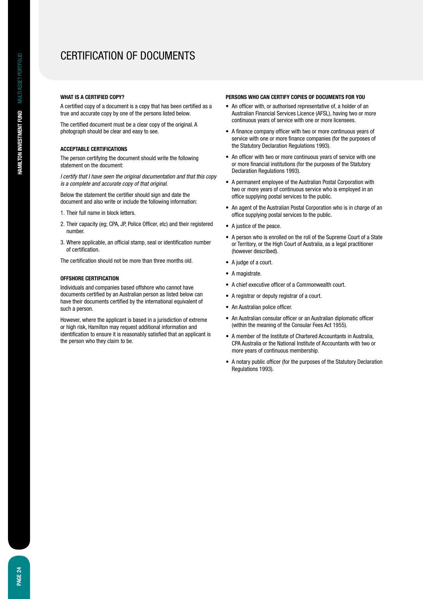## Certification of Documents

#### **What is a certified copy?**

A certified copy of a document is a copy that has been certified as a true and accurate copy by one of the persons listed below.

The certified document must be a clear copy of the original. A photograph should be clear and easy to see.

#### **Acceptable certifications**

The person certifying the document should write the following statement on the document:

*I certify that I have seen the original documentation and that this copy is a complete and accurate copy of that original.*

Below the statement the certifier should sign and date the document and also write or include the following information:

- 1. Their full name in block letters.
- 2. Their capacity (eg; CPA, JP, Police Officer, etc) and their registered number.
- 3. Where applicable, an official stamp, seal or identification number of certification.

The certification should not be more than three months old.

#### **Offshore certification**

Individuals and companies based offshore who cannot have documents certified by an Australian person as listed below can have their documents certified by the international equivalent of such a person.

However, where the applicant is based in a jurisdiction of extreme or high risk, Hamilton may request additional information and identification to ensure it is reasonably satisfied that an applicant is the person who they claim to be.

#### **Persons who can certify copies of documents for you**

- An officer with, or authorised representative of, a holder of an Australian Financial Services Licence (AFSL), having two or more continuous years of service with one or more licensees.
- A finance company officer with two or more continuous years of service with one or more finance companies (for the purposes of the Statutory Declaration Regulations 1993).
- An officer with two or more continuous years of service with one or more financial institutions (for the purposes of the Statutory Declaration Regulations 1993).
- A permanent employee of the Australian Postal Corporation with two or more years of continuous service who is employed in an office supplying postal services to the public.
- An agent of the Australian Postal Corporation who is in charge of an office supplying postal services to the public.
- • A justice of the peace.
- A person who is enrolled on the roll of the Supreme Court of a State or Territory, or the High Court of Australia, as a legal practitioner (however described).
- A judge of a court.
- A magistrate.
- • A chief executive officer of a Commonwealth court.
- • A registrar or deputy registrar of a court.
- An Australian police officer.
- An Australian consular officer or an Australian diplomatic officer (within the meaning of the Consular Fees Act 1955).
- A member of the Institute of Chartered Accountants in Australia, CPA Australia or the National Institute of Accountants with two or more years of continuous membership.
- A notary public officer (for the purposes of the Statutory Declaration Regulations 1993).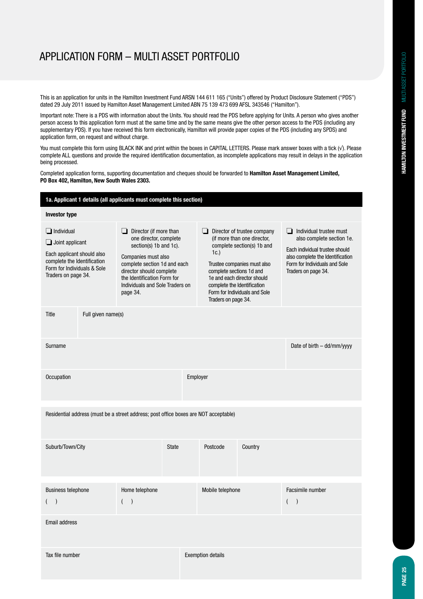## application form – Multi ASSET Portfolio

This is an application for units in the Hamilton Investment Fund ARSN 144 611 165 ("Units") offered by Product Disclosure Statement ("PDS") dated 29 July 2011 issued by Hamilton Asset Management Limited ABN 75 139 473 699 AFSL 343546 ("Hamilton").

Important note: There is a PDS with information about the Units. You should read the PDS before applying for Units. A person who gives another person access to this application form must at the same time and by the same means give the other person access to the PDS (including any supplementary PDS). If you have received this form electronically, Hamilton will provide paper copies of the PDS (including any SPDS) and application form, on request and without charge.

You must complete this form using BLACK INK and print within the boxes in CAPITAL LETTERS. Please mark answer boxes with a tick (√). Please complete ALL questions and provide the required identification documentation, as incomplete applications may result in delays in the application being processed.

Completed application forms, supporting documentation and cheques should be forwarded to **Hamilton Asset Management Limited, PO Box 402, Hamilton, New South Wales 2303.**

|                                                                                                                                                                | 1a. Applicant 1 details (all applicants must complete this section) |                                                                                                                                                                                                                                                  |              |                                                                                                                                                                                                                                                                                       |         |                                                                                                                                                                                         |  |
|----------------------------------------------------------------------------------------------------------------------------------------------------------------|---------------------------------------------------------------------|--------------------------------------------------------------------------------------------------------------------------------------------------------------------------------------------------------------------------------------------------|--------------|---------------------------------------------------------------------------------------------------------------------------------------------------------------------------------------------------------------------------------------------------------------------------------------|---------|-----------------------------------------------------------------------------------------------------------------------------------------------------------------------------------------|--|
| <b>Investor type</b>                                                                                                                                           |                                                                     |                                                                                                                                                                                                                                                  |              |                                                                                                                                                                                                                                                                                       |         |                                                                                                                                                                                         |  |
| $\Box$ Individual<br>$\Box$ Joint applicant<br>Each applicant should also<br>complete the Identification<br>Form for Individuals & Sole<br>Traders on page 34. |                                                                     | Director (if more than<br>ப<br>one director, complete<br>section(s) 1b and 1c).<br>Companies must also<br>complete section 1d and each<br>director should complete<br>the Identification Form for<br>Individuals and Sole Traders on<br>page 34. |              | Director of trustee company<br>ப<br>(if more than one director,<br>complete section(s) 1b and<br>1c.<br>Trustee companies must also<br>complete sections 1d and<br>1e and each director should<br>complete the Identification<br>Form for Individuals and Sole<br>Traders on page 34. |         | Individual trustee must<br>ப<br>also complete section 1e.<br>Each individual trustee should<br>also complete the Identification<br>Form for Individuals and Sole<br>Traders on page 34. |  |
| Title<br>Full given name(s)                                                                                                                                    |                                                                     |                                                                                                                                                                                                                                                  |              |                                                                                                                                                                                                                                                                                       |         |                                                                                                                                                                                         |  |
| Surname                                                                                                                                                        |                                                                     |                                                                                                                                                                                                                                                  |              |                                                                                                                                                                                                                                                                                       |         | Date of birth - dd/mm/yyyy                                                                                                                                                              |  |
| Occupation                                                                                                                                                     |                                                                     |                                                                                                                                                                                                                                                  |              | Employer                                                                                                                                                                                                                                                                              |         |                                                                                                                                                                                         |  |
|                                                                                                                                                                |                                                                     | Residential address (must be a street address; post office boxes are NOT acceptable)                                                                                                                                                             |              |                                                                                                                                                                                                                                                                                       |         |                                                                                                                                                                                         |  |
| Suburb/Town/City                                                                                                                                               |                                                                     |                                                                                                                                                                                                                                                  | <b>State</b> | Postcode                                                                                                                                                                                                                                                                              | Country |                                                                                                                                                                                         |  |
| <b>Business telephone</b>                                                                                                                                      |                                                                     | Home telephone                                                                                                                                                                                                                                   |              | Mobile telephone                                                                                                                                                                                                                                                                      |         | Facsimile number<br>$\overline{ }$                                                                                                                                                      |  |
| <b>Email address</b>                                                                                                                                           |                                                                     |                                                                                                                                                                                                                                                  |              |                                                                                                                                                                                                                                                                                       |         |                                                                                                                                                                                         |  |
| Tax file number                                                                                                                                                |                                                                     |                                                                                                                                                                                                                                                  |              | <b>Exemption details</b>                                                                                                                                                                                                                                                              |         |                                                                                                                                                                                         |  |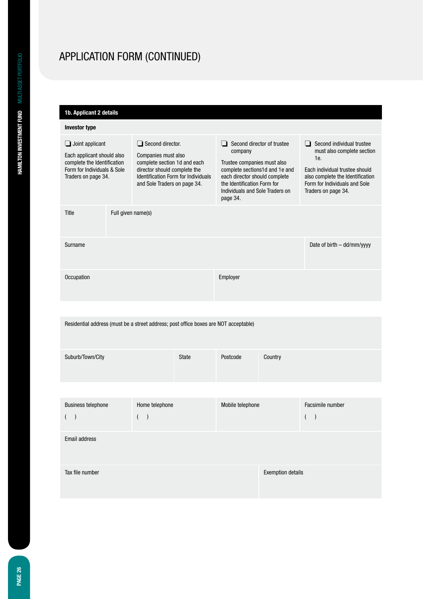| 1b. Applicant 2 details                                                                                                                                                                                                                                                                                                            |                    |                                                                                                                                                                                                                                 |              |                                                                                                                                                                                                     |                          |                                           |
|------------------------------------------------------------------------------------------------------------------------------------------------------------------------------------------------------------------------------------------------------------------------------------------------------------------------------------|--------------------|---------------------------------------------------------------------------------------------------------------------------------------------------------------------------------------------------------------------------------|--------------|-----------------------------------------------------------------------------------------------------------------------------------------------------------------------------------------------------|--------------------------|-------------------------------------------|
| <b>Investor type</b>                                                                                                                                                                                                                                                                                                               |                    |                                                                                                                                                                                                                                 |              |                                                                                                                                                                                                     |                          |                                           |
| $\Box$ Second director.<br>$\Box$ Joint applicant<br>Each applicant should also<br>Companies must also<br>complete the Identification<br>complete section 1d and each<br>Form for Individuals & Sole<br>director should complete the<br>Identification Form for Individuals<br>Traders on page 34.<br>and Sole Traders on page 34. |                    | Second director of trustee<br>$\Box$<br>company<br>Trustee companies must also<br>complete sections1d and 1e and<br>each director should complete<br>the Identification Form for<br>Individuals and Sole Traders on<br>page 34. |              | $\Box$ Second individual trustee<br>must also complete section<br>1e.<br>Each individual trustee should<br>also complete the Identification<br>Form for Individuals and Sole<br>Traders on page 34. |                          |                                           |
| Title                                                                                                                                                                                                                                                                                                                              | Full given name(s) |                                                                                                                                                                                                                                 |              |                                                                                                                                                                                                     |                          |                                           |
| Surname                                                                                                                                                                                                                                                                                                                            |                    |                                                                                                                                                                                                                                 |              |                                                                                                                                                                                                     |                          | Date of birth - dd/mm/yyyy                |
| Occupation                                                                                                                                                                                                                                                                                                                         |                    |                                                                                                                                                                                                                                 |              | Employer                                                                                                                                                                                            |                          |                                           |
|                                                                                                                                                                                                                                                                                                                                    |                    |                                                                                                                                                                                                                                 |              |                                                                                                                                                                                                     |                          |                                           |
|                                                                                                                                                                                                                                                                                                                                    |                    | Residential address (must be a street address; post office boxes are NOT acceptable)                                                                                                                                            |              |                                                                                                                                                                                                     |                          |                                           |
| Suburb/Town/City                                                                                                                                                                                                                                                                                                                   |                    |                                                                                                                                                                                                                                 | <b>State</b> | Postcode                                                                                                                                                                                            | Country                  |                                           |
|                                                                                                                                                                                                                                                                                                                                    |                    |                                                                                                                                                                                                                                 |              |                                                                                                                                                                                                     |                          |                                           |
| <b>Business telephone</b><br>$\overline{\phantom{a}}$                                                                                                                                                                                                                                                                              |                    | Home telephone<br>$\lambda$                                                                                                                                                                                                     |              | Mobile telephone                                                                                                                                                                                    |                          | Facsimile number<br>(<br>$\left( \right)$ |
| Email address                                                                                                                                                                                                                                                                                                                      |                    |                                                                                                                                                                                                                                 |              |                                                                                                                                                                                                     |                          |                                           |
| Tax file number                                                                                                                                                                                                                                                                                                                    |                    |                                                                                                                                                                                                                                 |              |                                                                                                                                                                                                     | <b>Exemption details</b> |                                           |
|                                                                                                                                                                                                                                                                                                                                    |                    |                                                                                                                                                                                                                                 |              |                                                                                                                                                                                                     |                          |                                           |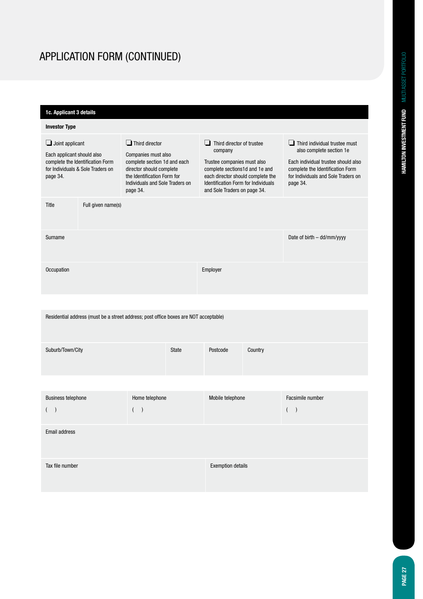| 1c. Applicant 3 details                                                                                                                   |                                                                                                                                                                                        |                                                                                                                                                                                                                                 |                                                                                                                                                                                                |  |  |  |  |
|-------------------------------------------------------------------------------------------------------------------------------------------|----------------------------------------------------------------------------------------------------------------------------------------------------------------------------------------|---------------------------------------------------------------------------------------------------------------------------------------------------------------------------------------------------------------------------------|------------------------------------------------------------------------------------------------------------------------------------------------------------------------------------------------|--|--|--|--|
| <b>Investor Type</b>                                                                                                                      |                                                                                                                                                                                        |                                                                                                                                                                                                                                 |                                                                                                                                                                                                |  |  |  |  |
| $\Box$ Joint applicant<br>Each applicant should also<br>complete the Identification Form<br>for Individuals & Sole Traders on<br>page 34. | $\Box$ Third director<br>Companies must also<br>complete section 1d and each<br>director should complete<br>the Identification Form for<br>Individuals and Sole Traders on<br>page 34. | $\Box$ Third director of trustee<br>company<br>Trustee companies must also<br>complete sections1d and 1e and<br>each director should complete the<br><b>Identification Form for Individuals</b><br>and Sole Traders on page 34. | $\Box$ Third individual trustee must<br>also complete section 1e<br>Each individual trustee should also<br>complete the Identification Form<br>for Individuals and Sole Traders on<br>page 34. |  |  |  |  |
| Full given name(s)<br>Title                                                                                                               |                                                                                                                                                                                        |                                                                                                                                                                                                                                 |                                                                                                                                                                                                |  |  |  |  |
| Surname                                                                                                                                   |                                                                                                                                                                                        |                                                                                                                                                                                                                                 | Date of birth - dd/mm/yyyy                                                                                                                                                                     |  |  |  |  |
| Occupation                                                                                                                                |                                                                                                                                                                                        | Employer                                                                                                                                                                                                                        |                                                                                                                                                                                                |  |  |  |  |
|                                                                                                                                           |                                                                                                                                                                                        |                                                                                                                                                                                                                                 |                                                                                                                                                                                                |  |  |  |  |
|                                                                                                                                           | Residential address (must be a street address; post office boxes are NOT acceptable)                                                                                                   |                                                                                                                                                                                                                                 |                                                                                                                                                                                                |  |  |  |  |
| Suburb/Town/City                                                                                                                          | <b>State</b>                                                                                                                                                                           | Postcode<br>Country                                                                                                                                                                                                             |                                                                                                                                                                                                |  |  |  |  |
|                                                                                                                                           |                                                                                                                                                                                        |                                                                                                                                                                                                                                 |                                                                                                                                                                                                |  |  |  |  |
| <b>Business telephone</b>                                                                                                                 | Home telephone<br>(                                                                                                                                                                    | Mobile telephone                                                                                                                                                                                                                | Facsimile number                                                                                                                                                                               |  |  |  |  |
| <b>Email address</b>                                                                                                                      |                                                                                                                                                                                        |                                                                                                                                                                                                                                 |                                                                                                                                                                                                |  |  |  |  |
| Tax file number                                                                                                                           |                                                                                                                                                                                        | <b>Exemption details</b>                                                                                                                                                                                                        |                                                                                                                                                                                                |  |  |  |  |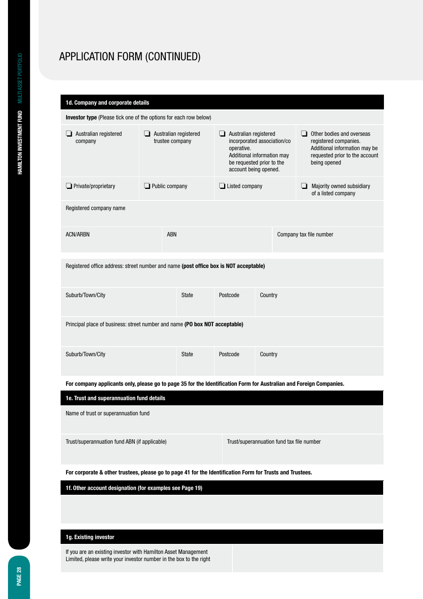| 1d. Company and corporate details                                                                                   |                                               |            |                                                                                                                                                             |                       |                         |                                                                                                                                       |   |                                                  |
|---------------------------------------------------------------------------------------------------------------------|-----------------------------------------------|------------|-------------------------------------------------------------------------------------------------------------------------------------------------------------|-----------------------|-------------------------|---------------------------------------------------------------------------------------------------------------------------------------|---|--------------------------------------------------|
| Investor type (Please tick one of the options for each row below)                                                   |                                               |            |                                                                                                                                                             |                       |                         |                                                                                                                                       |   |                                                  |
| Australian registered<br>company                                                                                    | Australian registered<br>ப<br>trustee company |            | ⊔<br>Australian registered<br>incorporated association/co<br>operative.<br>Additional information may<br>be requested prior to the<br>account being opened. |                       | ப                       | Other bodies and overseas<br>registered companies.<br>Additional information may be<br>requested prior to the account<br>being opened |   |                                                  |
| $\Box$ Private/proprietary                                                                                          | $\Box$ Public company                         |            |                                                                                                                                                             | $\Box$ Listed company |                         |                                                                                                                                       | ப | Majority owned subsidiary<br>of a listed company |
| Registered company name                                                                                             |                                               |            |                                                                                                                                                             |                       |                         |                                                                                                                                       |   |                                                  |
| <b>ACN/ARBN</b>                                                                                                     |                                               | <b>ABN</b> |                                                                                                                                                             |                       | Company tax file number |                                                                                                                                       |   |                                                  |
| Registered office address: street number and name (post office box is NOT acceptable)                               |                                               |            |                                                                                                                                                             |                       |                         |                                                                                                                                       |   |                                                  |
| Suburb/Town/City                                                                                                    |                                               |            | State                                                                                                                                                       | Postcode              | Country                 |                                                                                                                                       |   |                                                  |
| Principal place of business: street number and name (PO box NOT acceptable)                                         |                                               |            |                                                                                                                                                             |                       |                         |                                                                                                                                       |   |                                                  |
| Suburb/Town/City                                                                                                    |                                               |            | <b>State</b>                                                                                                                                                | Postcode              | Country                 |                                                                                                                                       |   |                                                  |
| For company applicants only, please go to page 35 for the Identification Form for Australian and Foreign Companies. |                                               |            |                                                                                                                                                             |                       |                         |                                                                                                                                       |   |                                                  |
| 1e. Trust and superannuation fund details                                                                           |                                               |            |                                                                                                                                                             |                       |                         |                                                                                                                                       |   |                                                  |
| Name of trust or superannuation fund                                                                                |                                               |            |                                                                                                                                                             |                       |                         |                                                                                                                                       |   |                                                  |
| Trust/superannuation fund ABN (if applicable)<br>Trust/superannuation fund tax file number                          |                                               |            |                                                                                                                                                             |                       |                         |                                                                                                                                       |   |                                                  |
| For corporate & other trustees, please go to page 41 for the Identification Form for Trusts and Trustees.           |                                               |            |                                                                                                                                                             |                       |                         |                                                                                                                                       |   |                                                  |
| 1f. Other account designation (for examples see Page 19)                                                            |                                               |            |                                                                                                                                                             |                       |                         |                                                                                                                                       |   |                                                  |

### **1g. Existing investor**

If you are an existing investor with Hamilton Asset Management Limited, please write your investor number in the box to the right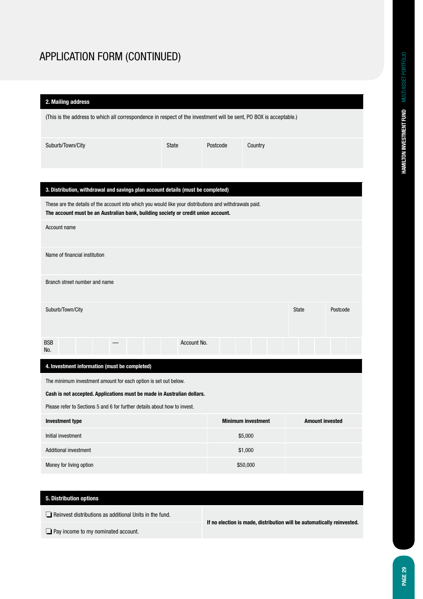| 2. Mailing address                                                                                                                                                                           |              |          |                           |                        |          |  |  |
|----------------------------------------------------------------------------------------------------------------------------------------------------------------------------------------------|--------------|----------|---------------------------|------------------------|----------|--|--|
| (This is the address to which all correspondence in respect of the investment will be sent, PO BOX is acceptable.)                                                                           |              |          |                           |                        |          |  |  |
| Suburb/Town/City                                                                                                                                                                             | <b>State</b> | Postcode | Country                   |                        |          |  |  |
|                                                                                                                                                                                              |              |          |                           |                        |          |  |  |
| 3. Distribution, withdrawal and savings plan account details (must be completed)                                                                                                             |              |          |                           |                        |          |  |  |
| These are the details of the account into which you would like your distributions and withdrawals paid.<br>The account must be an Australian bank, building society or credit union account. |              |          |                           |                        |          |  |  |
| Account name                                                                                                                                                                                 |              |          |                           |                        |          |  |  |
| Name of financial institution                                                                                                                                                                |              |          |                           |                        |          |  |  |
| Branch street number and name                                                                                                                                                                |              |          |                           |                        |          |  |  |
| Suburb/Town/City                                                                                                                                                                             |              |          |                           | <b>State</b>           | Postcode |  |  |
| <b>BSB</b><br>No.                                                                                                                                                                            | Account No.  |          |                           |                        |          |  |  |
| 4. Investment information (must be completed)                                                                                                                                                |              |          |                           |                        |          |  |  |
| The minimum investment amount for each option is set out below.                                                                                                                              |              |          |                           |                        |          |  |  |
| Cash is not accepted. Applications must be made in Australian dollars.                                                                                                                       |              |          |                           |                        |          |  |  |
| Please refer to Sections 5 and 6 for further details about how to invest.                                                                                                                    |              |          |                           |                        |          |  |  |
| <b>Investment type</b>                                                                                                                                                                       |              |          | <b>Minimum investment</b> | <b>Amount invested</b> |          |  |  |
| Initial investment                                                                                                                                                                           |              |          | \$5,000                   |                        |          |  |  |
| Additional investment                                                                                                                                                                        |              |          | \$1,000                   |                        |          |  |  |
| Money for living option                                                                                                                                                                      |              |          | \$50,000                  |                        |          |  |  |
|                                                                                                                                                                                              |              |          |                           |                        |          |  |  |

### **5. Distribution options**

❏ Reinvest distributions as additional Units in the fund.

**If no election is made, distribution will be automatically reinvested.**

❏ Pay income to my nominated account.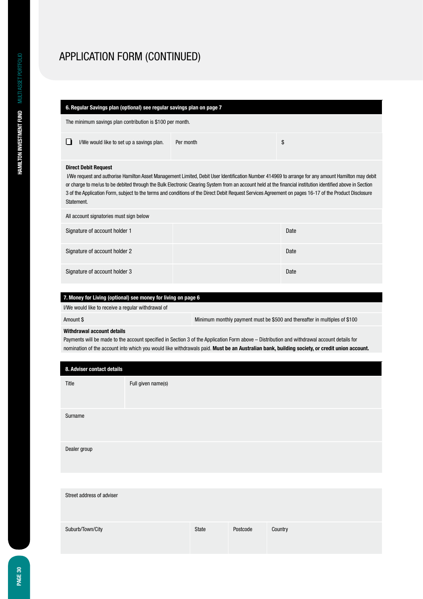### **6. Regular Savings plan (optional) see regular savings plan on page 7**

The minimum savings plan contribution is \$100 per month.

| $\Box$ I/We would like to set up a savings plan. | Per month |  |
|--------------------------------------------------|-----------|--|
|--------------------------------------------------|-----------|--|

#### **Direct Debit Request**

I/We request and authorise Hamilton Asset Management Limited, Debit User Identification Number 414969 to arrange for any amount Hamilton may debit or charge to me/us to be debited through the Bulk Electronic Clearing System from an account held at the financial institution identified above in Section 3 of the Application Form, subject to the terms and conditions of the Direct Debit Request Services Agreement on pages 16-17 of the Product Disclosure Statement.

| All account signatories must sign below |      |  |  |  |  |
|-----------------------------------------|------|--|--|--|--|
| Signature of account holder 1           | Date |  |  |  |  |
| Signature of account holder 2           | Date |  |  |  |  |
| Signature of account holder 3           | Date |  |  |  |  |

### **7. Money for Living (optional) see money for living on page 6**

I/We would like to receive a regular withdrawal of

Amount \$ Minimum monthly payment must be \$500 and thereafter in multiples of \$100

#### **Withdrawal account details**

Payments will be made to the account specified in Section 3 of the Application Form above – Distribution and withdrawal account details for nomination of the account into which you would like withdrawals paid. **Must be an Australian bank, building society, or credit union account.**

| 8. Adviser contact details |                    |       |          |         |
|----------------------------|--------------------|-------|----------|---------|
| Title                      | Full given name(s) |       |          |         |
| Surname                    |                    |       |          |         |
| Dealer group               |                    |       |          |         |
|                            |                    |       |          |         |
| Street address of adviser  |                    |       |          |         |
| Suburb/Town/City           |                    | State | Postcode | Country |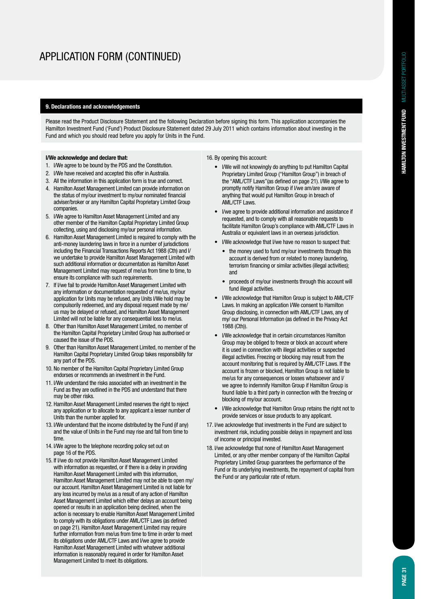#### **9. Declarations and acknowledgements**

Please read the Product Disclosure Statement and the following Declaration before signing this form. This application accompanies the Hamilton Investment Fund ('Fund') Product Disclosure Statement dated 29 July 2011 which contains information about investing in the Fund and which you should read before you apply for Units in the Fund.

#### **I/We acknowledge and declare that:**

- 1. I/We agree to be bound by the PDS and the Constitution.
- 2. I/We have received and accepted this offer in Australia.
- 3. All the information in this application form is true and correct.
- 4. Hamilton Asset Management Limited can provide information on the status of my/our investment to my/our nominated financial adviser/broker or any Hamilton Capital Proprietary Limited Group companies.
- 5. I/We agree to Hamilton Asset Management Limited and any other member of the Hamilton Capital Proprietary Limited Group collecting, using and disclosing my/our personal information.
- 6. Hamilton Asset Management Limited is required to comply with the anti-money laundering laws in force in a number of jurisdictions including the Financial Transactions Reports Act 1988 (Cth) and I/ we undertake to provide Hamilton Asset Management Limited with such additional information or documentation as Hamilton Asset Management Limited may request of me/us from time to time, to ensure its compliance with such requirements.
- 7. If I/we fail to provide Hamilton Asset Management Limited with any information or documentation requested of me/us, my/our application for Units may be refused, any Units I/We hold may be compulsorily redeemed, and any disposal request made by me/ us may be delayed or refused, and Hamilton Asset Management Limited will not be liable for any consequential loss to me/us.
- 8. Other than Hamilton Asset Management Limited, no member of the Hamilton Capital Proprietary Limited Group has authorised or caused the issue of the PDS.
- 9. Other than Hamilton Asset Management Limited, no member of the Hamilton Capital Proprietary Limited Group takes responsibility for any part of the PDS.
- 10. No member of the Hamilton Capital Proprietary Limited Group endorses or recommends an investment in the Fund.
- 11. I/We understand the risks associated with an investment in the Fund as they are outlined in the PDS and understand that there may be other risks.
- 12. Hamilton Asset Management Limited reserves the right to reject any application or to allocate to any applicant a lesser number of Units than the number applied for.
- 13. I/We understand that the income distributed by the Fund (if any) and the value of Units in the Fund may rise and fall from time to time.
- 14. I/We agree to the telephone recording policy set out on page 16 of the PDS.
- 15. If I/we do not provide Hamilton Asset Management Limited with information as requested, or if there is a delay in providing Hamilton Asset Management Limited with this information, Hamilton Asset Management Limited may not be able to open my/ our account. Hamilton Asset Management Limited is not liable for any loss incurred by me/us as a result of any action of Hamilton Asset Management Limited which either delays an account being opened or results in an application being declined, when the action is necessary to enable Hamilton Asset Management Limited to comply with its obligations under AML/CTF Laws (as defined on page 21). Hamilton Asset Management Limited may require further information from me/us from time to time in order to meet its obligations under AML/CTF Laws and I/we agree to provide Hamilton Asset Management Limited with whatever additional information is reasonably required in order for Hamilton Asset Management Limited to meet its obligations.

16. By opening this account:

- I/We will not knowingly do anything to put Hamilton Capital Proprietary Limited Group ("Hamilton Group") in breach of the "AML/CTF Laws"(as defined on page 21). I/We agree to promptly notify Hamilton Group if I/we am/are aware of anything that would put Hamilton Group in breach of AML/CTF Laws.
- I/we agree to provide additional information and assistance if requested, and to comply with all reasonable requests to facilitate Hamilton Group's compliance with AML/CTF Laws in Australia or equivalent laws in an overseas jurisdiction.
- I/We acknowledge that I/we have no reason to suspect that:
	- the money used to fund my/our investments through this account is derived from or related to money laundering, terrorism financing or similar activities (illegal activities); and
	- proceeds of my/our investments through this account will fund illegal activities.
- I/We acknowledge that Hamilton Group is subject to AML/CTF Laws. In making an application I/We consent to Hamilton Group disclosing, in connection with AML/CTF Laws, any of my/ our Personal Information (as defined in the Privacy Act 1988 (Cth)).
- I/We acknowledge that in certain circumstances Hamilton Group may be obliged to freeze or block an account where it is used in connection with illegal activities or suspected illegal activities. Freezing or blocking may result from the account monitoring that is required by AML/CTF Laws. If the account is frozen or blocked, Hamilton Group is not liable to me/us for any consequences or losses whatsoever and I/ we agree to indemnify Hamilton Group if Hamilton Group is found liable to a third party in connection with the freezing or blocking of my/our account.
- I/We acknowledge that Hamilton Group retains the right not to provide services or issue products to any applicant.
- 17. I/we acknowledge that investments in the Fund are subject to investment risk, including possible delays in repayment and loss of income or principal invested.
- 18. I/we acknowledge that none of Hamilton Asset Management Limited, or any other member company of the Hamilton Capital Proprietary Limited Group guarantees the performance of the Fund or its underlying investments, the repayment of capital from the Fund or any particular rate of return.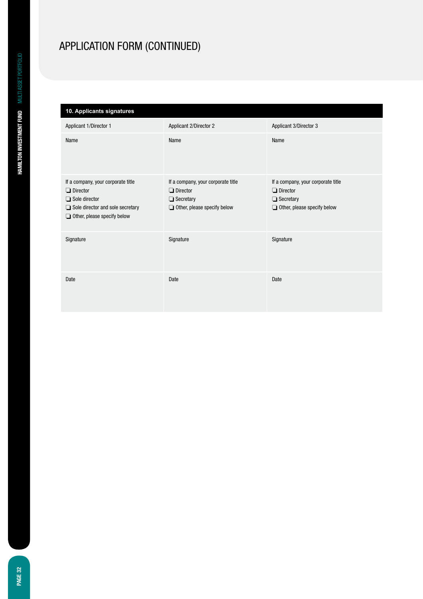# **10. Applicants signatures**

| Applicant 1/Director 1                                                                                                                                         | Applicant 2/Director 2                                                                                          | Applicant 3/Director 3                                                                                          |
|----------------------------------------------------------------------------------------------------------------------------------------------------------------|-----------------------------------------------------------------------------------------------------------------|-----------------------------------------------------------------------------------------------------------------|
| Name                                                                                                                                                           | Name                                                                                                            | Name                                                                                                            |
| If a company, your corporate title<br>$\Box$ Director<br>$\Box$ Sole director<br>$\Box$ Sole director and sole secretary<br>$\Box$ Other, please specify below | If a company, your corporate title<br>$\Box$ Director<br>$\Box$ Secretary<br>$\Box$ Other, please specify below | If a company, your corporate title<br>$\Box$ Director<br>$\Box$ Secretary<br>$\Box$ Other, please specify below |
| Signature                                                                                                                                                      | Signature                                                                                                       | Signature                                                                                                       |
| Date                                                                                                                                                           | Date                                                                                                            | Date                                                                                                            |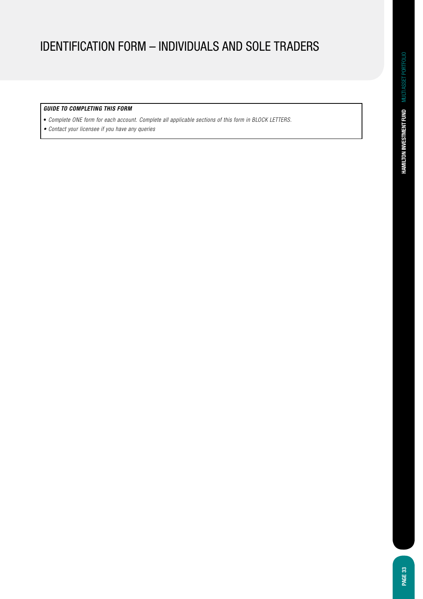# IDENTIFICATION Form – INDIVIDUALS AND SOLE TRADERS

### *GUIDE TO COMPLETING THIS FORM*

- *Complete ONE form for each account. Complete all applicable sections of this form in BLOCK LETTERS.*
- Contact your licensee if you have any queries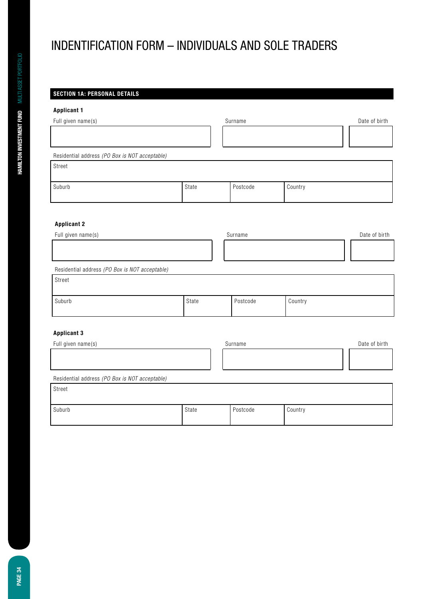# INDENTIFICATION FORM – INDIVIDUALS AND SOLE TRADERS

## **SECTION 1A: PERSONAL DETAILS**

## **Applicant 1**

| Applicant 1                                    |       |          |         |               |
|------------------------------------------------|-------|----------|---------|---------------|
| Full given name(s)                             |       | Surname  |         | Date of birth |
|                                                |       |          |         |               |
| Residential address (PO Box is NOT acceptable) |       |          |         |               |
| Street                                         |       |          |         |               |
| Suburb                                         | State | Postcode | Country |               |
|                                                |       |          |         |               |
| <b>Applicant 2</b>                             |       |          |         |               |
| Full given name(s)                             |       | Surname  |         | Date of birth |
|                                                |       |          |         |               |
| Residential address (PO Box is NOT acceptable) |       |          |         |               |
| Street                                         |       |          |         |               |
| Suburb                                         | State | Postcode | Country |               |
| Annlicant 3                                    |       |          |         |               |

### **Applicant 3**

| Full given name(s)                             |       | Surname  |         | Date of birth |
|------------------------------------------------|-------|----------|---------|---------------|
|                                                |       |          |         |               |
|                                                |       |          |         |               |
| Residential address (PO Box is NOT acceptable) |       |          |         |               |
| Street                                         |       |          |         |               |
|                                                |       |          |         |               |
| Suburb                                         | State | Postcode | Country |               |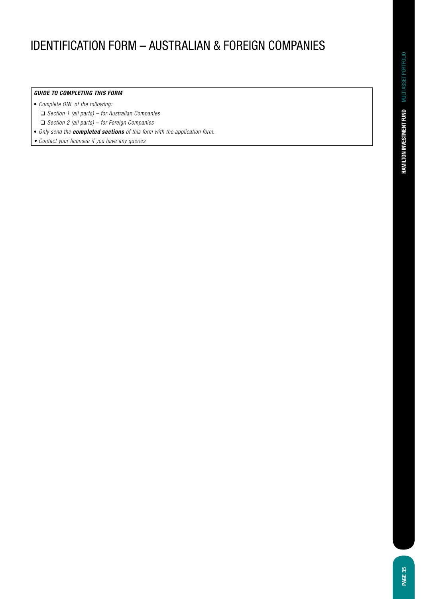# IDENTIFICATION FORM – AUSTRALIAN & FOREIGN COMPANIES

### *GUIDE TO COMPLETING THIS FORM*

- *Complete ONE of the following:*
	- ❑ *Section 1 (all parts) for Australian Companies*
- ❑ *Section 2 (all parts) for Foreign Companies*
- Only send the *completed sections of this form with the application form.*
- Contact your licensee if you have any queries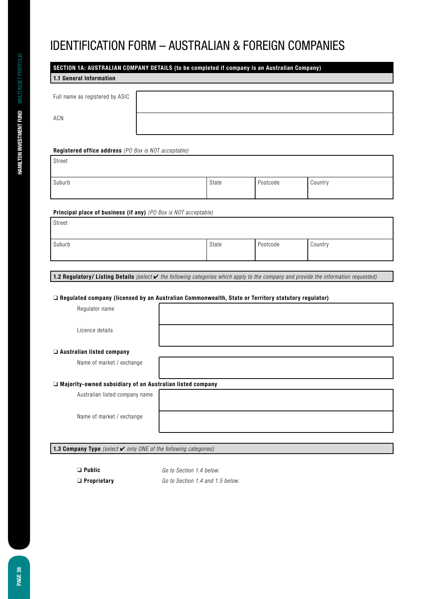# IDENTIFICATION FORM – AUSTRALIAN & FOREIGN COMPANIES

|                                 | SECTION 1A: AUSTRALIAN COMPANY DETAILS (to be completed if company is an Australian Company) |  |  |  |  |  |
|---------------------------------|----------------------------------------------------------------------------------------------|--|--|--|--|--|
| 1.1 General Information         |                                                                                              |  |  |  |  |  |
|                                 |                                                                                              |  |  |  |  |  |
| Full name as registered by ASIC |                                                                                              |  |  |  |  |  |
|                                 |                                                                                              |  |  |  |  |  |
| ACN                             |                                                                                              |  |  |  |  |  |
|                                 |                                                                                              |  |  |  |  |  |
|                                 |                                                                                              |  |  |  |  |  |
|                                 |                                                                                              |  |  |  |  |  |

#### **Registered office address** *(PO Box is NOT acceptable)*

| Street |
|--------|
|        |

| Suburb | State | Postcode | Country |
|--------|-------|----------|---------|
|        |       |          |         |

### **Principal place of business (if any)** *(PO Box is NOT acceptable)*

| Street |       |          |         |
|--------|-------|----------|---------|
| Suburb | State | Postcode | Country |

**1.2 Regulatory/ Listing Details** *(select* ✔ the following categories which apply to the company and provide the information requested)

#### ❑ **Regulated company (licensed by an Australian Commonwealth, State or Territory statutory regulator)**

Regulator name

Licence details

### ❑ **Australian listed company**

Name of market / exchange

### ❑ **Majority-owned subsidiary of an Australian listed company**

Australian listed company name

Name of market / exchange

**1.3 Company Type** (select **✓** only ONE of the following categories)

❑ **Public** *Go to Section 1.4 below.* ❑ **Proprietary** Go to Section 1.4 and 1.5 below.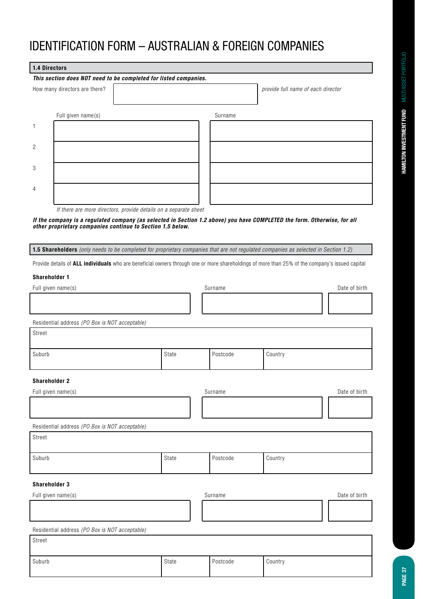| 1.4 Directors        |                                                                  |  |       |          |                                                                                                                                                 |               |
|----------------------|------------------------------------------------------------------|--|-------|----------|-------------------------------------------------------------------------------------------------------------------------------------------------|---------------|
|                      | This section does NOT need to be completed for listed companies. |  |       |          |                                                                                                                                                 |               |
|                      | How many directors are there?                                    |  |       |          | provide full name of each director                                                                                                              |               |
|                      | Full given name(s)                                               |  |       | Surname  |                                                                                                                                                 |               |
| $\mathbf{1}$         |                                                                  |  |       |          |                                                                                                                                                 |               |
| 2                    |                                                                  |  |       |          |                                                                                                                                                 |               |
| 3                    |                                                                  |  |       |          |                                                                                                                                                 |               |
|                      |                                                                  |  |       |          |                                                                                                                                                 |               |
| 4                    |                                                                  |  |       |          |                                                                                                                                                 |               |
|                      | If there are more directors, provide details on a separate sheet |  |       |          |                                                                                                                                                 |               |
|                      | other proprietary companies continue to Section 1.5 below.       |  |       |          | If the company is a regulated company (as selected in Section 1.2 above) you have COMPLETED the form. Otherwise, for all                        |               |
|                      |                                                                  |  |       |          | 1.5 Shareholders (only needs to be completed for proprietary companies that are not regulated companies as selected in Section 1.2)             |               |
|                      |                                                                  |  |       |          | Provide details of ALL individuals who are beneficial owners through one or more shareholdings of more than 25% of the company's issued capital |               |
| <b>Shareholder 1</b> |                                                                  |  |       |          |                                                                                                                                                 |               |
|                      | Full given name(s)                                               |  |       | Surname  |                                                                                                                                                 | Date of birth |
|                      |                                                                  |  |       |          |                                                                                                                                                 |               |
|                      | Residential address (PO Box is NOT acceptable)                   |  |       |          |                                                                                                                                                 |               |
| Street               |                                                                  |  |       |          |                                                                                                                                                 |               |
| Suburb               |                                                                  |  | State | Postcode | Country                                                                                                                                         |               |
| <b>Shareholder 2</b> |                                                                  |  |       |          |                                                                                                                                                 |               |
| Full given name(s)   |                                                                  |  |       | Surname  |                                                                                                                                                 | Date of birth |
|                      |                                                                  |  |       |          |                                                                                                                                                 |               |
|                      | Residential address (PO Box is NOT acceptable)                   |  |       |          |                                                                                                                                                 |               |
| Street               |                                                                  |  |       |          |                                                                                                                                                 |               |
| Suburb               |                                                                  |  | State | Postcode | Country                                                                                                                                         |               |
| <b>Shareholder 3</b> |                                                                  |  |       |          |                                                                                                                                                 |               |
| Full given name(s)   |                                                                  |  |       | Surname  |                                                                                                                                                 | Date of birth |
|                      |                                                                  |  |       |          |                                                                                                                                                 |               |
|                      | Residential address (PO Box is NOT acceptable)                   |  |       |          |                                                                                                                                                 |               |
| Street               |                                                                  |  |       |          |                                                                                                                                                 |               |
| Suburb               |                                                                  |  | State | Postcode | Country                                                                                                                                         |               |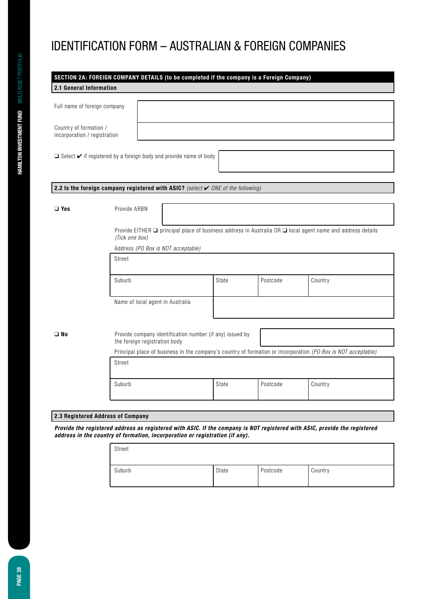|                                                        |                |                                                                                                               | SECTION 2A: FOREIGN COMPANY DETAILS (to be completed if the company is a Foreign Company)   |          |                                                                                                             |  |  |
|--------------------------------------------------------|----------------|---------------------------------------------------------------------------------------------------------------|---------------------------------------------------------------------------------------------|----------|-------------------------------------------------------------------------------------------------------------|--|--|
| 2.1 General Information                                |                |                                                                                                               |                                                                                             |          |                                                                                                             |  |  |
|                                                        |                |                                                                                                               |                                                                                             |          |                                                                                                             |  |  |
| Full name of foreign company                           |                |                                                                                                               |                                                                                             |          |                                                                                                             |  |  |
|                                                        |                |                                                                                                               |                                                                                             |          |                                                                                                             |  |  |
| Country of formation /<br>incorporation / registration |                |                                                                                                               |                                                                                             |          |                                                                                                             |  |  |
|                                                        |                |                                                                                                               |                                                                                             |          |                                                                                                             |  |  |
|                                                        |                | $\Box$ Select $\checkmark$ if registered by a foreign body and provide name of body                           |                                                                                             |          |                                                                                                             |  |  |
|                                                        |                |                                                                                                               |                                                                                             |          |                                                                                                             |  |  |
|                                                        |                |                                                                                                               |                                                                                             |          |                                                                                                             |  |  |
|                                                        |                |                                                                                                               | 2.2 Is the foreign company registered with ASIC? (select $\checkmark$ ONE of the following) |          |                                                                                                             |  |  |
|                                                        |                |                                                                                                               |                                                                                             |          |                                                                                                             |  |  |
| $\Box$ Yes                                             | Provide ARBN   |                                                                                                               |                                                                                             |          |                                                                                                             |  |  |
|                                                        |                |                                                                                                               |                                                                                             |          |                                                                                                             |  |  |
|                                                        | (Tick one box) |                                                                                                               |                                                                                             |          | Provide EITHER □ principal place of business address in Australia OR □ local agent name and address details |  |  |
|                                                        |                | Address (PO Box is NOT acceptable)                                                                            |                                                                                             |          |                                                                                                             |  |  |
|                                                        | Street         |                                                                                                               |                                                                                             |          |                                                                                                             |  |  |
|                                                        |                |                                                                                                               |                                                                                             |          |                                                                                                             |  |  |
|                                                        | Suburb         |                                                                                                               | State                                                                                       | Postcode | Country                                                                                                     |  |  |
|                                                        |                |                                                                                                               |                                                                                             |          |                                                                                                             |  |  |
|                                                        |                | Name of local agent in Australia                                                                              |                                                                                             |          |                                                                                                             |  |  |
|                                                        |                |                                                                                                               |                                                                                             |          |                                                                                                             |  |  |
|                                                        |                |                                                                                                               |                                                                                             |          |                                                                                                             |  |  |
| $\square$ No                                           |                | the foreign registration body                                                                                 | Provide company identification number (if any) issued by                                    |          |                                                                                                             |  |  |
|                                                        |                | Principal place of business in the company's country of formation or incorporation (PO Box is NOT acceptable) |                                                                                             |          |                                                                                                             |  |  |
|                                                        | Street         |                                                                                                               |                                                                                             |          |                                                                                                             |  |  |
|                                                        |                |                                                                                                               |                                                                                             |          |                                                                                                             |  |  |
|                                                        | Suburb         |                                                                                                               | State                                                                                       | Postcode | Country                                                                                                     |  |  |
|                                                        |                |                                                                                                               |                                                                                             |          |                                                                                                             |  |  |
|                                                        |                |                                                                                                               |                                                                                             |          |                                                                                                             |  |  |
| 2.3 Registered Address of Company                      |                |                                                                                                               |                                                                                             |          |                                                                                                             |  |  |

*Provide the registered address as registered with ASIC. If the company is NOT registered with ASIC, provide the registered address in the country of formation, incorporation or registration (if any).*

| Street |       |          |         |
|--------|-------|----------|---------|
| Suburb | State | Postcode | Country |

**PAGE 38**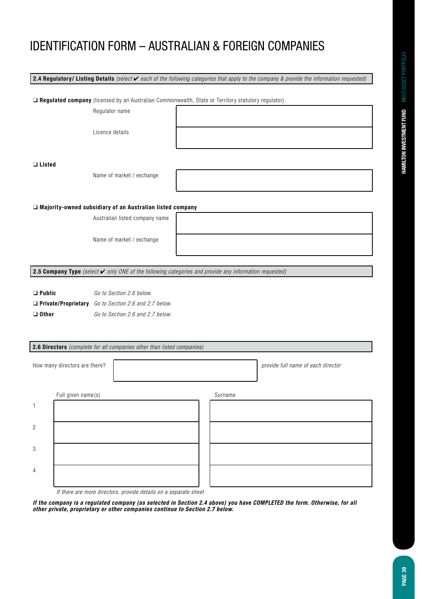**2.4 Regulatory/ Listing Details** (select ✔ each of the following categories that apply to the company & provide the information requested)

❑ **Regulated company** (licensed by an Australian Commonwealth, State or Territory statutory regulator)

Regulator name

Licence details

❑ **Listed** 

Name of market / exchange

#### ❑ **Majority-owned subsidiary of an Australian listed company**

Australian listed company name

Name of market / exchange

**2.5 Company Type** *(select* ✔ only ONE of the following categories and provide any information requested)

❑ **Public** *Go to Section 2.6 below.*

❑ **Private/Proprietary** Go to Section 2.6 and 2.7 below.

❑ **Other** Go to Section 2.6 and 2.7 below.

### **2.6 Directors** (complete for all companies other than listed companies)

|                | How many directors are there? |  |         | provide full name of each director |
|----------------|-------------------------------|--|---------|------------------------------------|
|                | Full given name(s)            |  | Surname |                                    |
| 1              |                               |  |         |                                    |
| $\overline{c}$ |                               |  |         |                                    |
| 3              |                               |  |         |                                    |
| $\overline{4}$ |                               |  |         |                                    |

If there are more directors, provide details on a separate sheet

*If the company is a regulated company (as selected in Section 2.4 above) you have COMPLETED the form. Otherwise, for all other private, proprietary or other companies continue to Section 2.7 below.*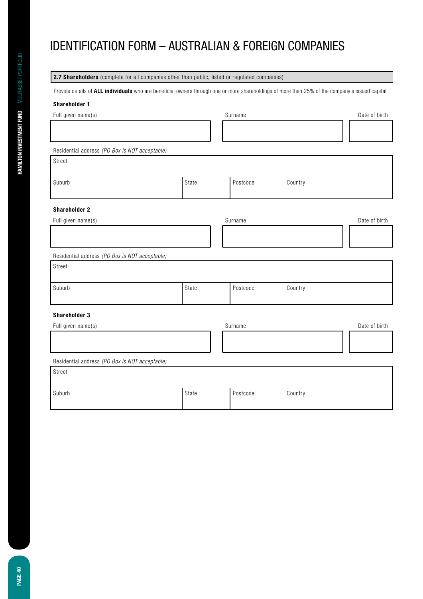| 2.7 Shareholders (complete for all companies other than public, listed or regulated companies)                                                  |       |          |         |               |
|-------------------------------------------------------------------------------------------------------------------------------------------------|-------|----------|---------|---------------|
| Provide details of ALL individuals who are beneficial owners through one or more shareholdings of more than 25% of the company's issued capital |       |          |         |               |
| Shareholder 1                                                                                                                                   |       |          |         |               |
| Full given name(s)                                                                                                                              |       | Surname  |         | Date of birth |
|                                                                                                                                                 |       |          |         |               |
|                                                                                                                                                 |       |          |         |               |
| Residential address (PO Box is NOT acceptable)                                                                                                  |       |          |         |               |
| Street                                                                                                                                          |       |          |         |               |
| Suburb                                                                                                                                          | State | Postcode | Country |               |
| <b>Shareholder 2</b>                                                                                                                            |       |          |         |               |
| Full given name(s)                                                                                                                              |       | Surname  |         | Date of birth |
|                                                                                                                                                 |       |          |         |               |
| Residential address (PO Box is NOT acceptable)                                                                                                  |       |          |         |               |
| Street                                                                                                                                          |       |          |         |               |
| Suburb                                                                                                                                          | State | Postcode | Country |               |
| <b>Shareholder 3</b>                                                                                                                            |       |          |         |               |
| Full given name(s)                                                                                                                              |       | Surname  |         | Date of birth |
|                                                                                                                                                 |       |          |         |               |
| Residential address (PO Box is NOT acceptable)                                                                                                  |       |          |         |               |
| Street                                                                                                                                          |       |          |         |               |
| Suburb                                                                                                                                          | State | Postcode | Country |               |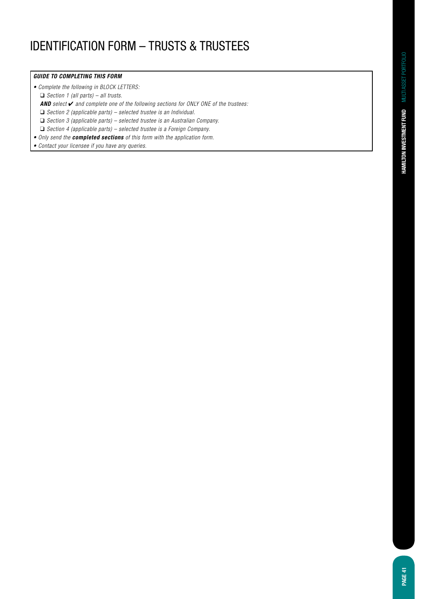# IDENTIFICATION FORM – TRUSTS & TRUSTEES

#### *GUIDE TO COMPLETING THIS FORM*

• Complete the following in BLOCK LETTERS:

❑ *Section 1 (all parts) – all trusts.*

*AND select* ✔ and complete one of the following sections for ONLY ONE of the trustees:

 $\Box$  Section 2 (applicable parts) – selected trustee is an Individual.

❑ Section 3 (applicable parts) – selected trustee is an Australian Company.

 $\Box$  Section 4 (applicable parts) – selected trustee is a Foreign Company.

• Only send the *completed sections of this form with the application form.*

• Contact your licensee if you have any queries.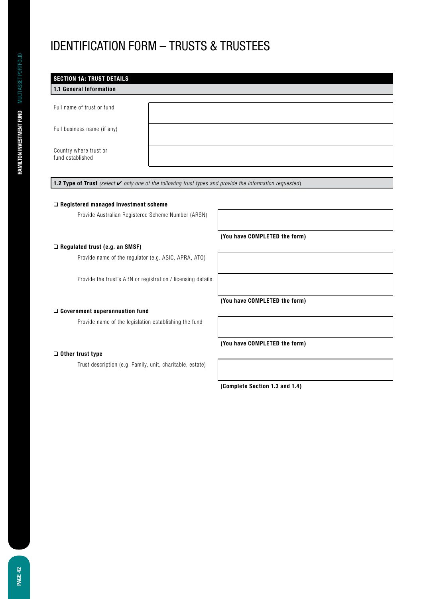# IDENTIFICATION FORM – TRUSTS & TRUSTEES

| 1.1 General Information     |  | <b>SECTION 1A: TRUST DETAILS</b> |
|-----------------------------|--|----------------------------------|
|                             |  |                                  |
| Full name of trust or fund  |  |                                  |
|                             |  |                                  |
| Full business name (if any) |  |                                  |
| Country where trust or      |  |                                  |
| fund established            |  |                                  |

**1.2 Type of Trust** (select ✔ only one of the following trust types and provide the information requested)

#### ❑ **Registered managed investment scheme**

Provide Australian Registered Scheme Number (ARSN)

### ❑ **Regulated trust (e.g. an SMSF)**

Provide name of the regulator (e.g. ASIC, APRA, ATO)

Provide the trust's ABN or registration / licensing details

#### ❑ **Government superannuation fund**

Provide name of the legislation establishing the fund

### ❑ **Other trust type**

Trust description (e.g. Family, unit, charitable, estate)

**(You have COMPLETED the form)**

**(You have COMPLETED the form)**

**(You have COMPLETED the form)**

**(Complete Section 1.3 and 1.4)**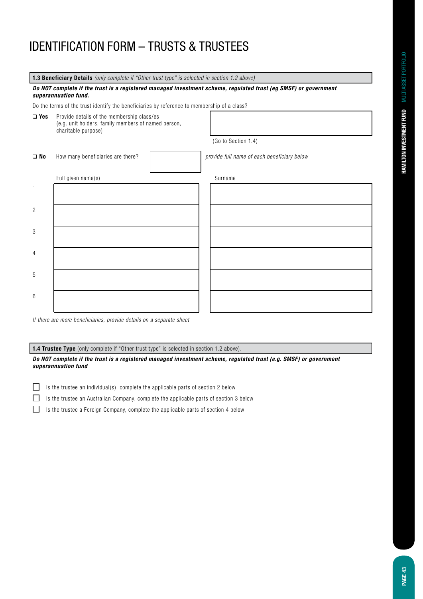**1.3 Beneficiary Details** (only complete if "Other trust type" is selected in section 1.2 above)

#### *Do NOT complete if the trust is a registered managed investment scheme, regulated trust (eg SMSF) or government superannuation fund.*

Do the terms of the trust identify the beneficiaries by reference to membership of a class?

❑ **Yes** Provide details of the membership class/es (e.g. unit holders, family members of named person, charitable purpose)

(Go to Section 1.4)

| $\square$ No   | How many beneficiaries are there? | provide full name of each beneficiary below |
|----------------|-----------------------------------|---------------------------------------------|
|                | Full given name(s)                | Surname                                     |
|                |                                   |                                             |
| $\overline{2}$ |                                   |                                             |
| $\sqrt{3}$     |                                   |                                             |
| 4              |                                   |                                             |
| $5\,$          |                                   |                                             |
| $\,6\,$        |                                   |                                             |

If there are more beneficiaries, provide details on a separate sheet

**1.4 Trustee Type** (only complete if "Other trust type" is selected in section 1.2 above).

*Do NOT complete if the trust is a registered managed investment scheme, regulated trust (e.g. SMSF) or government superannuation fund*

- $\Box$ Is the trustee an individual(s), complete the applicable parts of section 2 below
- $\Box$ Is the trustee an Australian Company, complete the applicable parts of section 3 below
- $\Box$ Is the trustee a Foreign Company, complete the applicable parts of section 4 below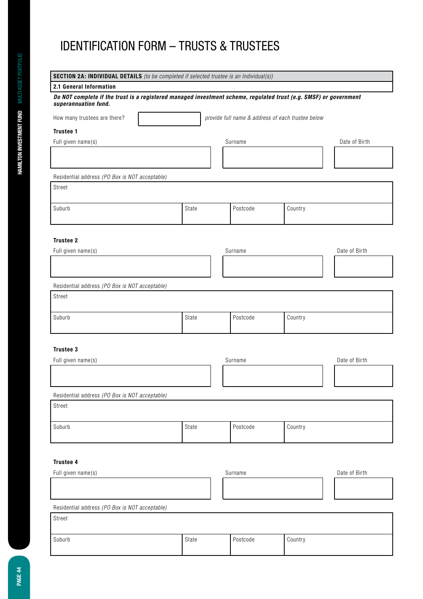| <b>SECTION 2A: INDIVIDUAL DETAILS</b> (to be completed if selected trustee is an Individual(s))<br>2.1 General Information |                                                   |       |          |         |               |  |  |  |  |
|----------------------------------------------------------------------------------------------------------------------------|---------------------------------------------------|-------|----------|---------|---------------|--|--|--|--|
| Do NOT complete if the trust is a registered managed investment scheme, regulated trust (e.g. SMSF) or government          |                                                   |       |          |         |               |  |  |  |  |
| superannuation fund.                                                                                                       |                                                   |       |          |         |               |  |  |  |  |
| How many trustees are there?                                                                                               | provide full name & address of each trustee below |       |          |         |               |  |  |  |  |
| Trustee 1                                                                                                                  |                                                   |       |          |         |               |  |  |  |  |
| Full given name(s)                                                                                                         |                                                   |       | Surname  |         | Date of Birth |  |  |  |  |
|                                                                                                                            |                                                   |       |          |         |               |  |  |  |  |
| Residential address (PO Box is NOT acceptable)                                                                             |                                                   |       |          |         |               |  |  |  |  |
| Street                                                                                                                     |                                                   |       |          |         |               |  |  |  |  |
|                                                                                                                            |                                                   |       |          |         |               |  |  |  |  |
| Suburb                                                                                                                     |                                                   | State | Postcode | Country |               |  |  |  |  |
|                                                                                                                            |                                                   |       |          |         |               |  |  |  |  |
| Trustee 2                                                                                                                  |                                                   |       |          |         |               |  |  |  |  |
| Full given name(s)                                                                                                         |                                                   |       | Surname  |         | Date of Birth |  |  |  |  |
|                                                                                                                            |                                                   |       |          |         |               |  |  |  |  |
|                                                                                                                            |                                                   |       |          |         |               |  |  |  |  |
| Residential address (PO Box is NOT acceptable)                                                                             |                                                   |       |          |         |               |  |  |  |  |
| Street                                                                                                                     |                                                   |       |          |         |               |  |  |  |  |
|                                                                                                                            |                                                   |       |          |         |               |  |  |  |  |
| Suburb                                                                                                                     |                                                   | State | Postcode | Country |               |  |  |  |  |
|                                                                                                                            |                                                   |       |          |         |               |  |  |  |  |
| Trustee 3                                                                                                                  |                                                   |       |          |         |               |  |  |  |  |
| Full given name(s)                                                                                                         |                                                   |       | Surname  |         | Date of Birth |  |  |  |  |
|                                                                                                                            |                                                   |       |          |         |               |  |  |  |  |
|                                                                                                                            |                                                   |       |          |         |               |  |  |  |  |
| Residential address (PO Box is NOT acceptable)                                                                             |                                                   |       |          |         |               |  |  |  |  |
| Street                                                                                                                     |                                                   |       |          |         |               |  |  |  |  |
|                                                                                                                            |                                                   |       |          |         |               |  |  |  |  |
| Suburb                                                                                                                     |                                                   | State | Postcode | Country |               |  |  |  |  |
|                                                                                                                            |                                                   |       |          |         |               |  |  |  |  |
|                                                                                                                            |                                                   |       |          |         |               |  |  |  |  |
| Trustee 4                                                                                                                  |                                                   |       |          |         |               |  |  |  |  |
| Full given name(s)                                                                                                         |                                                   |       | Surname  |         | Date of Birth |  |  |  |  |
|                                                                                                                            |                                                   |       |          |         |               |  |  |  |  |
|                                                                                                                            |                                                   |       |          |         |               |  |  |  |  |
| Residential address (PO Box is NOT acceptable)                                                                             |                                                   |       |          |         |               |  |  |  |  |
| Street                                                                                                                     |                                                   |       |          |         |               |  |  |  |  |
| Suburb                                                                                                                     |                                                   | State | Postcode | Country |               |  |  |  |  |
|                                                                                                                            |                                                   |       |          |         |               |  |  |  |  |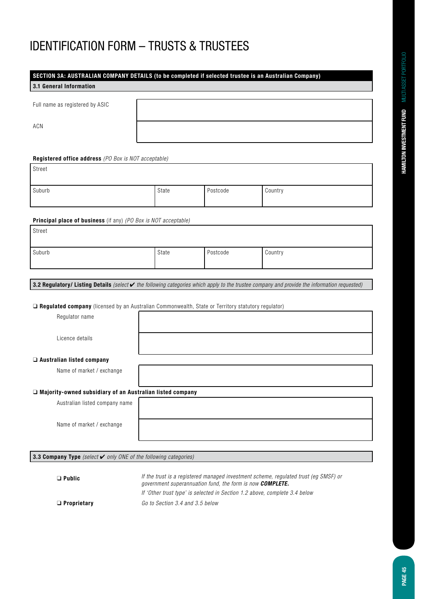| SECTION 3A: AUSTRALIAN COMPANY DETAILS (to be completed if selected trustee is an Australian Company)                                                   |       |          |         |  |  |  |  |
|---------------------------------------------------------------------------------------------------------------------------------------------------------|-------|----------|---------|--|--|--|--|
| 3.1 General Information                                                                                                                                 |       |          |         |  |  |  |  |
| Full name as registered by ASIC                                                                                                                         |       |          |         |  |  |  |  |
| <b>ACN</b>                                                                                                                                              |       |          |         |  |  |  |  |
| Registered office address (PO Box is NOT acceptable)                                                                                                    |       |          |         |  |  |  |  |
| Street                                                                                                                                                  |       |          |         |  |  |  |  |
| Suburb                                                                                                                                                  | State | Postcode | Country |  |  |  |  |
| Principal place of business (if any) (PO Box is NOT acceptable)                                                                                         |       |          |         |  |  |  |  |
| Street                                                                                                                                                  |       |          |         |  |  |  |  |
| Suburb                                                                                                                                                  | State | Postcode | Country |  |  |  |  |
| 3.2 Regulatory/ Listing Details (select $\checkmark$ the following categories which apply to the trustee company and provide the information requested) |       |          |         |  |  |  |  |
| □ Regulated company (licensed by an Australian Commonwealth, State or Territory statutory regulator)                                                    |       |          |         |  |  |  |  |
| Regulator name                                                                                                                                          |       |          |         |  |  |  |  |
| Licence details                                                                                                                                         |       |          |         |  |  |  |  |
| □ Australian listed company                                                                                                                             |       |          |         |  |  |  |  |
| Name of market / exchange                                                                                                                               |       |          |         |  |  |  |  |
| □ Majority-owned subsidiary of an Australian listed company                                                                                             |       |          |         |  |  |  |  |
| Australian listed company name                                                                                                                          |       |          |         |  |  |  |  |
| Name of market / exchange                                                                                                                               |       |          |         |  |  |  |  |
| 3.3 Company Type (select $\checkmark$ only ONE of the following categories)                                                                             |       |          |         |  |  |  |  |
|                                                                                                                                                         |       |          |         |  |  |  |  |

❑ **Public** If the trust is a registered managed investment scheme, regulated trust (eg SMSF) or government superannuation fund, the form is now *COMPLETE.* If 'Other trust type' is selected in Section 1.2 above, complete 3.4 below ❑ **Proprietary** Go to Section 3.4 and 3.5 below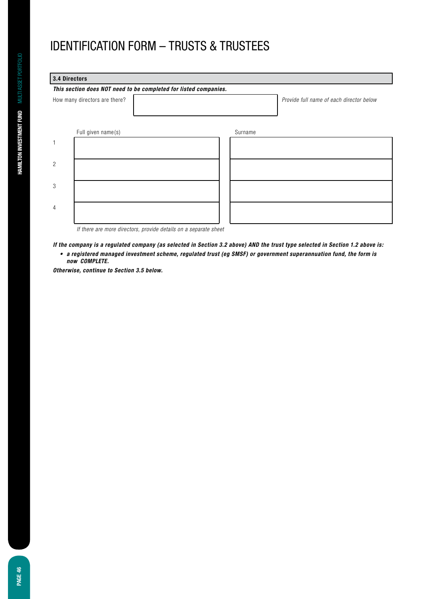| 3.4 Directors                 |                                                                  |         |                                          |  |  |  |  |
|-------------------------------|------------------------------------------------------------------|---------|------------------------------------------|--|--|--|--|
|                               | This section does NOT need to be completed for listed companies. |         |                                          |  |  |  |  |
| How many directors are there? |                                                                  |         | Provide full name of each director below |  |  |  |  |
|                               |                                                                  |         |                                          |  |  |  |  |
|                               | Full given name(s)                                               | Surname |                                          |  |  |  |  |
|                               |                                                                  |         |                                          |  |  |  |  |
|                               |                                                                  |         |                                          |  |  |  |  |
| 2                             |                                                                  |         |                                          |  |  |  |  |
|                               |                                                                  |         |                                          |  |  |  |  |
| 3                             |                                                                  |         |                                          |  |  |  |  |
|                               |                                                                  |         |                                          |  |  |  |  |
| 4                             |                                                                  |         |                                          |  |  |  |  |
|                               |                                                                  |         |                                          |  |  |  |  |

If there are more directors, provide details on a separate sheet

*If the company is a regulated company (as selected in Section 3.2 above) AND the trust type selected in Section 1.2 above is:*

• a registered managed investment scheme, regulated trust (eg SMSF) or government superannuation fund, the form is  *now COMPLETE.*

*Otherwise, continue to Section 3.5 below.*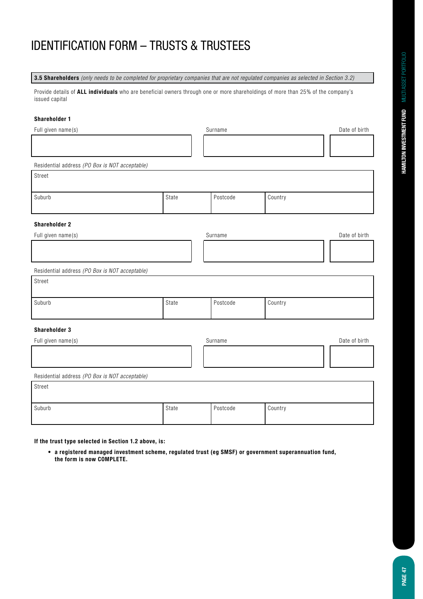**3.5 Shareholders** (only needs to be completed for proprietary companies that are not regulated companies as selected in Section 3.2)

Provide details of **ALL individuals** who are beneficial owners through one or more shareholdings of more than 25% of the company's issued capital

### **Shareholder 1**

| Full given name(s)                             |       | Surname  |         | Date of birth |
|------------------------------------------------|-------|----------|---------|---------------|
|                                                |       |          |         |               |
|                                                |       |          |         |               |
| Residential address (PO Box is NOT acceptable) |       |          |         |               |
| Street                                         |       |          |         |               |
|                                                |       |          |         |               |
| Suburb                                         | State | Postcode | Country |               |
|                                                |       |          |         |               |
| <b>Shareholder 2</b>                           |       |          |         |               |
| Full given name(s)                             |       | Surname  |         | Date of birth |
|                                                |       |          |         |               |
|                                                |       |          |         |               |
| Residential address (PO Box is NOT acceptable) |       |          |         |               |
| Street                                         |       |          |         |               |
|                                                |       |          |         |               |
| Suburb                                         | State | Postcode | Country |               |
|                                                |       |          |         |               |
| Shareholder 3                                  |       |          |         |               |
| Full given name(s)                             |       | Surname  |         | Date of birth |
|                                                |       |          |         |               |
|                                                |       |          |         |               |
| Residential address (PO Box is NOT acceptable) |       |          |         |               |
| Street                                         |       |          |         |               |
|                                                |       |          |         |               |
|                                                |       |          |         |               |

**If the trust type selected in Section 1.2 above, is:**

 **• a registered managed investment scheme, regulated trust (eg SMSF) or government superannuation fund, the form is now COMPLETE.**

Suburb Country State Resource Postcode Postcode Country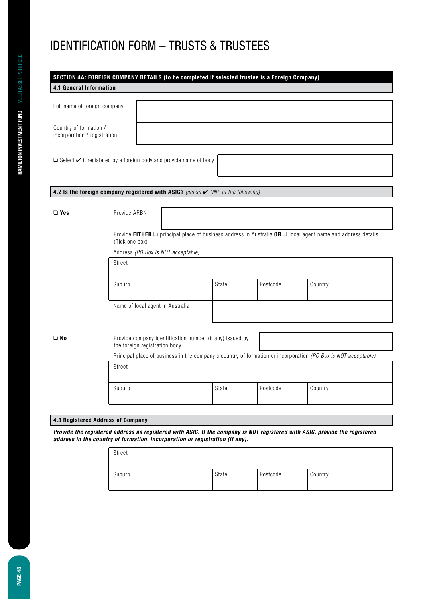| 4.1 General Information                                |                                   | SECTION 4A: FOREIGN COMPANY DETAILS (to be completed if selected trustee is a Foreign Company)                |       |          |                                                                                                                       |  |  |
|--------------------------------------------------------|-----------------------------------|---------------------------------------------------------------------------------------------------------------|-------|----------|-----------------------------------------------------------------------------------------------------------------------|--|--|
|                                                        |                                   |                                                                                                               |       |          |                                                                                                                       |  |  |
| Full name of foreign company                           |                                   |                                                                                                               |       |          |                                                                                                                       |  |  |
|                                                        |                                   |                                                                                                               |       |          |                                                                                                                       |  |  |
| Country of formation /<br>incorporation / registration |                                   |                                                                                                               |       |          |                                                                                                                       |  |  |
|                                                        |                                   |                                                                                                               |       |          |                                                                                                                       |  |  |
|                                                        |                                   | $\Box$ Select $\checkmark$ if registered by a foreign body and provide name of body                           |       |          |                                                                                                                       |  |  |
|                                                        |                                   |                                                                                                               |       |          |                                                                                                                       |  |  |
|                                                        |                                   |                                                                                                               |       |          |                                                                                                                       |  |  |
|                                                        |                                   | 4.2 Is the foreign company registered with ASIC? (select $\checkmark$ ONE of the following)                   |       |          |                                                                                                                       |  |  |
|                                                        |                                   |                                                                                                               |       |          |                                                                                                                       |  |  |
| $\Box$ Yes                                             | Provide ARBN                      |                                                                                                               |       |          |                                                                                                                       |  |  |
|                                                        |                                   |                                                                                                               |       |          |                                                                                                                       |  |  |
|                                                        | (Tick one box)                    |                                                                                                               |       |          | Provide EITHER $\Box$ principal place of business address in Australia OR $\Box$ local agent name and address details |  |  |
|                                                        |                                   | Address (PO Box is NOT acceptable)                                                                            |       |          |                                                                                                                       |  |  |
|                                                        | Street                            |                                                                                                               |       |          |                                                                                                                       |  |  |
|                                                        |                                   |                                                                                                               |       |          |                                                                                                                       |  |  |
|                                                        | Suburb                            |                                                                                                               | State | Postcode | Country                                                                                                               |  |  |
|                                                        |                                   |                                                                                                               |       |          |                                                                                                                       |  |  |
|                                                        |                                   | Name of local agent in Australia                                                                              |       |          |                                                                                                                       |  |  |
|                                                        |                                   |                                                                                                               |       |          |                                                                                                                       |  |  |
| $\square$ No                                           |                                   | Provide company identification number (if any) issued by<br>the foreign registration body                     |       |          |                                                                                                                       |  |  |
|                                                        |                                   | Principal place of business in the company's country of formation or incorporation (PO Box is NOT acceptable) |       |          |                                                                                                                       |  |  |
|                                                        | Street                            |                                                                                                               |       |          |                                                                                                                       |  |  |
|                                                        |                                   |                                                                                                               |       |          |                                                                                                                       |  |  |
|                                                        | Suburb                            |                                                                                                               | State | Postcode | Country                                                                                                               |  |  |
|                                                        |                                   |                                                                                                               |       |          |                                                                                                                       |  |  |
|                                                        |                                   |                                                                                                               |       |          |                                                                                                                       |  |  |
|                                                        | 4.3 Registered Address of Company |                                                                                                               |       |          |                                                                                                                       |  |  |

*Provide the registered address as registered with ASIC. If the company is NOT registered with ASIC, provide the registered address in the country of formation, incorporation or registration (if any).*

| Street |       |          |         |
|--------|-------|----------|---------|
| Suburb | State | Postcode | Country |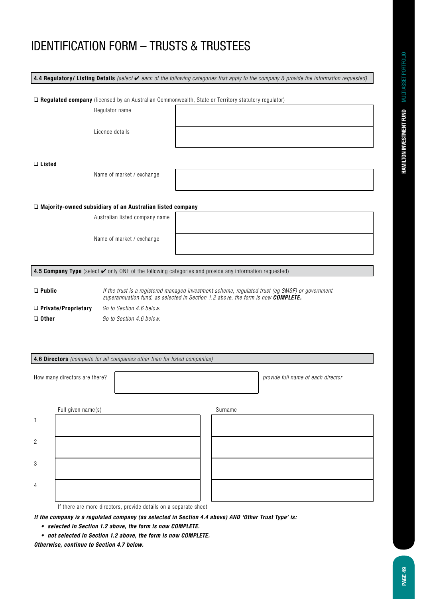|                            |                                                                  | 4.4 Regulatory/ Listing Details (select $\vee$ each of the following categories that apply to the company & provide the information requested)                                             |
|----------------------------|------------------------------------------------------------------|--------------------------------------------------------------------------------------------------------------------------------------------------------------------------------------------|
|                            |                                                                  |                                                                                                                                                                                            |
|                            |                                                                  | <b>Q Regulated company</b> (licensed by an Australian Commonwealth, State or Territory statutory regulator)                                                                                |
|                            | Regulator name                                                   |                                                                                                                                                                                            |
|                            |                                                                  |                                                                                                                                                                                            |
|                            | Licence details                                                  |                                                                                                                                                                                            |
|                            |                                                                  |                                                                                                                                                                                            |
|                            |                                                                  |                                                                                                                                                                                            |
| $\Box$ Listed              |                                                                  |                                                                                                                                                                                            |
|                            | Name of market / exchange                                        |                                                                                                                                                                                            |
|                            |                                                                  |                                                                                                                                                                                            |
|                            |                                                                  |                                                                                                                                                                                            |
|                            | $\Box$ Majority-owned subsidiary of an Australian listed company |                                                                                                                                                                                            |
|                            | Australian listed company name                                   |                                                                                                                                                                                            |
|                            |                                                                  |                                                                                                                                                                                            |
|                            | Name of market / exchange                                        |                                                                                                                                                                                            |
|                            |                                                                  |                                                                                                                                                                                            |
|                            |                                                                  |                                                                                                                                                                                            |
|                            |                                                                  | 4.5 Company Type (select $\checkmark$ only ONE of the following categories and provide any information requested)                                                                          |
|                            |                                                                  |                                                                                                                                                                                            |
| $\Box$ Public              |                                                                  | If the trust is a registered managed investment scheme, regulated trust (eg SMSF) or government<br>superannuation fund, as selected in Section 1.2 above, the form is now <b>COMPLETE.</b> |
| $\Box$ Private/Proprietary | Go to Section 4.6 below.                                         |                                                                                                                                                                                            |
| $\Box$ Other               | Go to Section 4.6 below.                                         |                                                                                                                                                                                            |
|                            |                                                                  |                                                                                                                                                                                            |

#### **4.6 Directors** (complete for all companies other than for listed companies)

|                | How many directors are there?                                    |         | provide full name of each director |
|----------------|------------------------------------------------------------------|---------|------------------------------------|
|                |                                                                  |         |                                    |
|                | Full given name(s)                                               | Surname |                                    |
| 1              |                                                                  |         |                                    |
|                |                                                                  |         |                                    |
| $\overline{c}$ |                                                                  |         |                                    |
|                |                                                                  |         |                                    |
| 3              |                                                                  |         |                                    |
|                |                                                                  |         |                                    |
| $\overline{4}$ |                                                                  |         |                                    |
|                |                                                                  |         |                                    |
|                | If there are more directors, provide details on a separate sheet |         |                                    |

*If the company is a regulated company (as selected in Section 4.4 above) AND 'Other Trust Type' is:*

- **• selected in Section 1.2 above, the form is now COMPLETE.**
- **• not selected in Section 1.2 above, the form is now COMPLETE.**

*Otherwise, continue to Section 4.7 below.*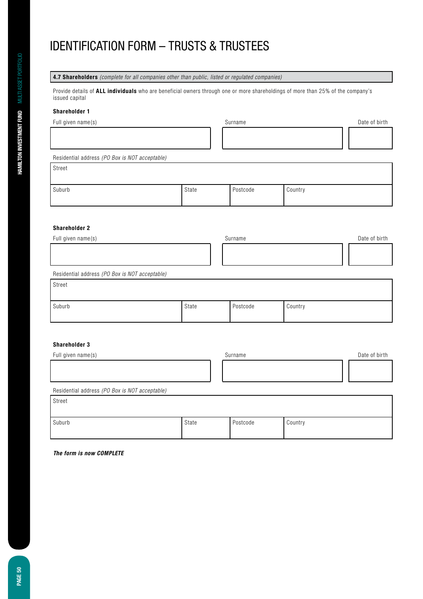**4.7 Shareholders** (complete for all companies other than public, listed or regulated companies)

Provide details of **ALL individuals** who are beneficial owners through one or more shareholdings of more than 25% of the company's issued capital

#### **Shareholder 1**

Full given name(s) and the surface of birth surface of birth surface surface of birth surface of birth surface of birth surface of birth surface of birth surface of birth surface of birth surface of birth surface of birth Residential address *(PO Box is NOT acceptable)* Street Suburb State Postcode Country **Shareholder 2**

| Full given name(s)                             | Surname | Date of birth |
|------------------------------------------------|---------|---------------|
|                                                |         |               |
|                                                |         |               |
| Residential address (PO Box is NOT acceptable) |         |               |
| Street                                         |         |               |
|                                                |         |               |

| Suburb | State | Postcode | Country |
|--------|-------|----------|---------|

### **Shareholder 3**

| Full given name(s)                             |       | Surname  |         | Date of birth |
|------------------------------------------------|-------|----------|---------|---------------|
|                                                |       |          |         |               |
|                                                |       |          |         |               |
| Residential address (PO Box is NOT acceptable) |       |          |         |               |
| Street                                         |       |          |         |               |
|                                                |       |          |         |               |
| Suburb                                         | State | Postcode | Country |               |

*The form is now COMPLETE*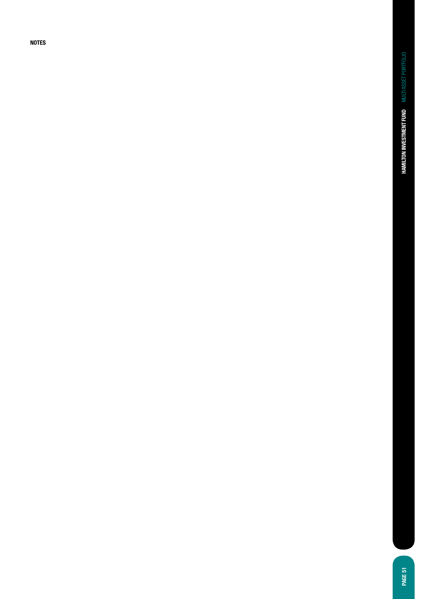**NOTES**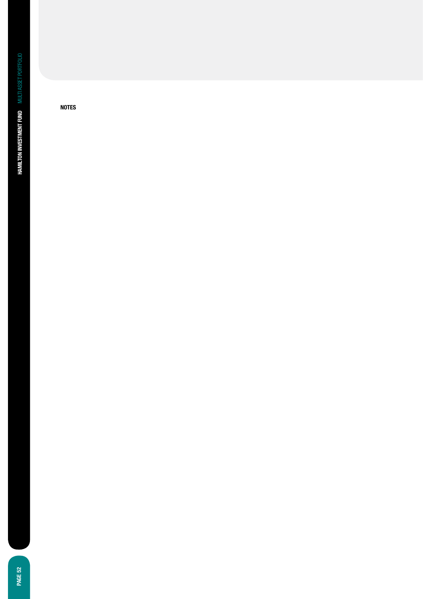**NOTES**